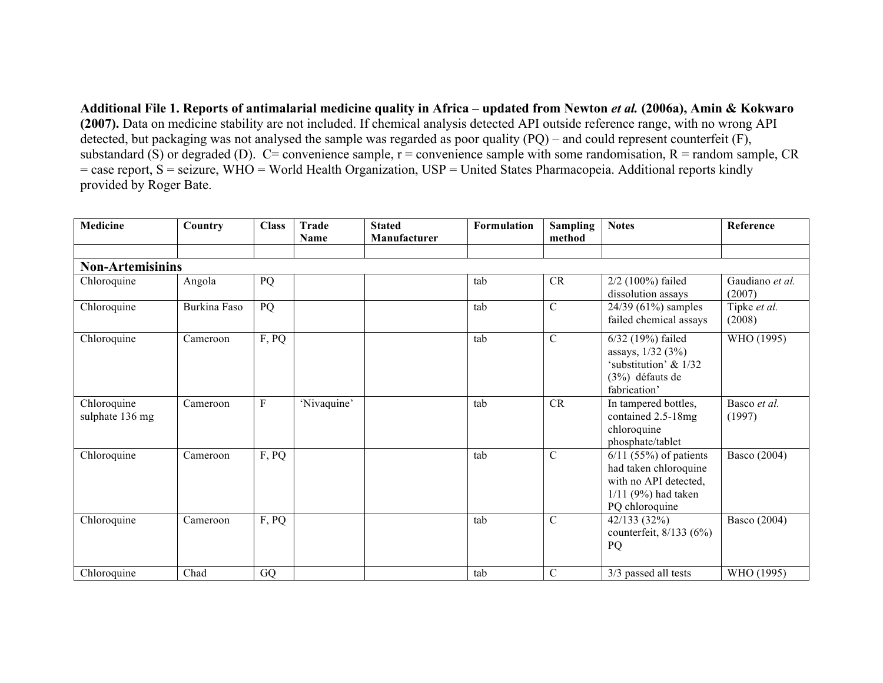**Additional File 1. Reports of antimalarial medicine quality in Africa – updated from Newton** *et al.* **(2006a), Amin & Kokwaro (2007).** Data on medicine stability are not included. If chemical analysis detected API outside reference range, with no wrong API detected, but packaging was not analysed the sample was regarded as poor quality (PQ) – and could represent counterfeit (F), substandard (S) or degraded (D).  $C=$  convenience sample,  $r =$  convenience sample with some randomisation,  $R =$  random sample,  $CR$ = case report, S = seizure, WHO = World Health Organization, USP = United States Pharmacopeia. Additional reports kindly provided by Roger Bate.

| <b>Medicine</b>                | Country      | <b>Class</b> | <b>Trade</b><br><b>Name</b> | <b>Stated</b><br>Manufacturer | <b>Formulation</b> | <b>Sampling</b><br>method | <b>Notes</b>                                                                                                          | Reference                 |
|--------------------------------|--------------|--------------|-----------------------------|-------------------------------|--------------------|---------------------------|-----------------------------------------------------------------------------------------------------------------------|---------------------------|
| <b>Non-Artemisinins</b>        |              |              |                             |                               |                    |                           |                                                                                                                       |                           |
| Chloroquine                    | Angola       | PQ           |                             |                               | tab                | CR                        | 2/2 (100%) failed<br>dissolution assays                                                                               | Gaudiano et al.<br>(2007) |
| Chloroquine                    | Burkina Faso | PQ           |                             |                               | tab                | $\mathcal{C}$             | $24/39$ (61%) samples<br>failed chemical assays                                                                       | Tipke et al.<br>(2008)    |
| Chloroquine                    | Cameroon     | F, PQ        |                             |                               | tab                | $\mathcal{C}$             | 6/32 (19%) failed<br>assays, 1/32 (3%)<br>'substitution' & 1/32<br>(3%) défauts de<br>fabrication'                    | WHO (1995)                |
| Chloroquine<br>sulphate 136 mg | Cameroon     | $\mathbf{F}$ | 'Nivaquine'                 |                               | tab                | CR                        | In tampered bottles,<br>contained 2.5-18mg<br>chloroquine<br>phosphate/tablet                                         | Basco et al.<br>(1997)    |
| Chloroquine                    | Cameroon     | F, PQ        |                             |                               | tab                | $\mathcal{C}$             | $6/11$ (55%) of patients<br>had taken chloroquine<br>with no API detected,<br>$1/11$ (9%) had taken<br>PQ chloroquine | Basco (2004)              |
| Chloroquine                    | Cameroon     | F, PQ        |                             |                               | tab                | $\mathsf{C}$              | 42/133(32%)<br>counterfeit, $8/133(6%)$<br>PQ                                                                         | Basco (2004)              |
| Chloroquine                    | Chad         | GQ           |                             |                               | tab                | $\mathsf{C}$              | 3/3 passed all tests                                                                                                  | WHO (1995)                |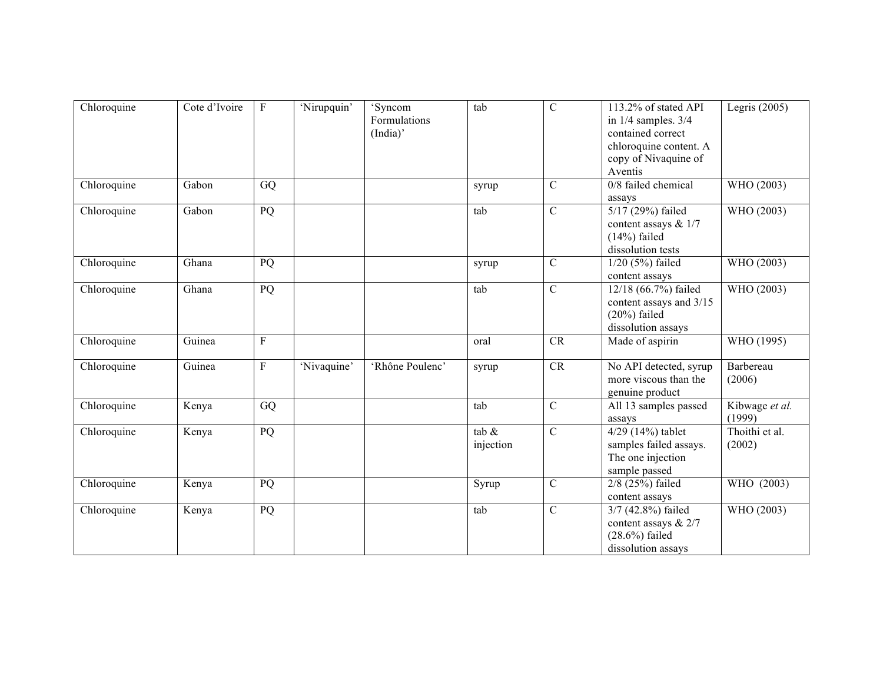| Chloroquine | Cote d'Ivoire | F            | 'Nirupquin' | 'Syncom<br>Formulations<br>(India)' | tab                   | $\mathcal{C}$ | 113.2% of stated API<br>in $1/4$ samples. $3/4$<br>contained correct<br>chloroquine content. A<br>copy of Nivaquine of<br>Aventis | Legris $(2005)$          |
|-------------|---------------|--------------|-------------|-------------------------------------|-----------------------|---------------|-----------------------------------------------------------------------------------------------------------------------------------|--------------------------|
| Chloroquine | Gabon         | GQ           |             |                                     | syrup                 | $\mathcal{C}$ | 0/8 failed chemical<br>assays                                                                                                     | WHO (2003)               |
| Chloroquine | Gabon         | PQ           |             |                                     | tab                   | $\mathcal{C}$ | 5/17 (29%) failed<br>content assays & 1/7<br>$(14%)$ failed<br>dissolution tests                                                  | WHO (2003)               |
| Chloroquine | Ghana         | PQ           |             |                                     | syrup                 | $\mathcal{C}$ | $1/20$ (5%) failed<br>content assays                                                                                              | WHO (2003)               |
| Chloroquine | Ghana         | PQ           |             |                                     | tab                   | $\mathcal{C}$ | 12/18 (66.7%) failed<br>content assays and 3/15<br>$(20\%)$ failed<br>dissolution assays                                          | WHO (2003)               |
| Chloroquine | Guinea        | $\mathbf{F}$ |             |                                     | oral                  | CR            | Made of aspirin                                                                                                                   | WHO (1995)               |
| Chloroquine | Guinea        | $\mathbf{F}$ | 'Nivaquine' | 'Rhône Poulenc'                     | syrup                 | <b>CR</b>     | No API detected, syrup<br>more viscous than the<br>genuine product                                                                | Barbereau<br>(2006)      |
| Chloroquine | Kenya         | GQ           |             |                                     | tab                   | $\mathcal{C}$ | All 13 samples passed<br>assays                                                                                                   | Kibwage et al.<br>(1999) |
| Chloroquine | Kenya         | PQ           |             |                                     | tab $\&$<br>injection | $\mathcal{C}$ | $4/29$ (14%) tablet<br>samples failed assays.<br>The one injection<br>sample passed                                               | Thoithi et al.<br>(2002) |
| Chloroquine | Kenya         | PQ           |             |                                     | Syrup                 | $\mathcal{C}$ | $2/8$ (25%) failed<br>content assays                                                                                              | WHO (2003)               |
| Chloroquine | Kenya         | PQ           |             |                                     | tab                   | $\mathbf C$   | 3/7 (42.8%) failed<br>content assays & 2/7<br>$(28.6%)$ failed<br>dissolution assays                                              | WHO (2003)               |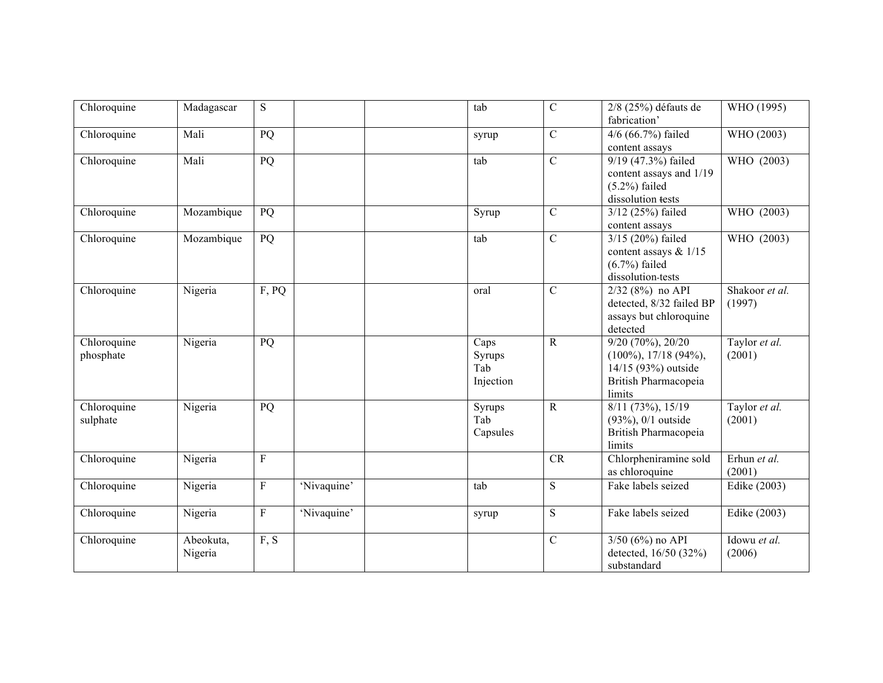| Chloroquine              | Madagascar           | ${\bf S}$       |             | tab                                | $\mathcal{C}$  | 2/8 (25%) défauts de<br>fabrication'                                                                               | WHO (1995)               |
|--------------------------|----------------------|-----------------|-------------|------------------------------------|----------------|--------------------------------------------------------------------------------------------------------------------|--------------------------|
| Chloroquine              | Mali                 | PQ              |             | syrup                              | $\mathcal{C}$  | 4/6 (66.7%) failed<br>content assays                                                                               | WHO (2003)               |
| Chloroquine              | Mali                 | PQ              |             | tab                                | $\mathcal{C}$  | 9/19 (47.3%) failed<br>content assays and 1/19<br>$(5.2\%)$ failed<br>dissolution tests                            | WHO (2003)               |
| Chloroquine              | Mozambique           | $\overline{PQ}$ |             | Syrup                              | $\overline{C}$ | 3/12 (25%) failed<br>content assays                                                                                | WHO (2003)               |
| Chloroquine              | Mozambique           | PQ              |             | tab                                | $\overline{C}$ | 3/15 (20%) failed<br>content assays $& 1/15$<br>$(6.7\%)$ failed<br>dissolution-tests                              | WHO (2003)               |
| Chloroquine              | Nigeria              | F, PQ           |             | oral                               | $\mathcal{C}$  | $2/32$ (8%) no API<br>detected, 8/32 failed BP<br>assays but chloroquine<br>detected                               | Shakoor et al.<br>(1997) |
| Chloroquine<br>phosphate | Nigeria              | PQ              |             | Caps<br>Syrups<br>Tab<br>Injection | $\mathbf R$    | $9/20$ (70%), $20\overline{20}$<br>$(100\%, 17/18(94\%),$<br>14/15 (93%) outside<br>British Pharmacopeia<br>limits | Taylor et al.<br>(2001)  |
| Chloroquine<br>sulphate  | Nigeria              | PQ              |             | Syrups<br>Tab<br>Capsules          | $\mathbf R$    | $8/11$ (73%), 15/19<br>$(93\%, 0/1 \text{ outside})$<br>British Pharmacopeia<br>limits                             | Taylor et al.<br>(2001)  |
| Chloroquine              | Nigeria              | $\mathbf{F}$    |             |                                    | CR             | Chlorpheniramine sold<br>as chloroquine                                                                            | Erhun et al.<br>(2001)   |
| Chloroquine              | Nigeria              | $\mathbf{F}$    | 'Nivaquine' | tab                                | S              | Fake labels seized                                                                                                 | Edike (2003)             |
| Chloroquine              | Nigeria              | $\rm F$         | 'Nivaquine' | syrup                              | ${\bf S}$      | Fake labels seized                                                                                                 | Edike (2003)             |
| Chloroquine              | Abeokuta,<br>Nigeria | F, S            |             |                                    | $\mathcal{C}$  | $3/50$ (6%) no API<br>detected, 16/50 (32%)<br>substandard                                                         | Idowu et al.<br>(2006)   |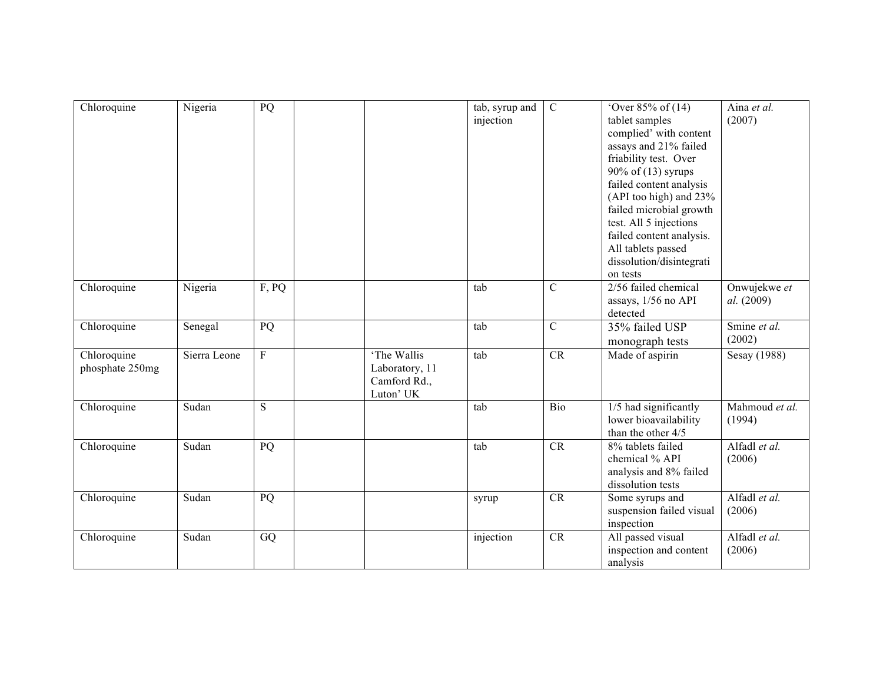| Chloroquine                    | Nigeria      | PQ             |                                                            | tab, syrup and<br>injection | $\mathbf C$    | 'Over $85%$ of $(14)$<br>tablet samples<br>complied' with content<br>assays and 21% failed<br>friability test. Over<br>90% of (13) syrups<br>failed content analysis<br>(API too high) and 23%<br>failed microbial growth<br>test. All 5 injections<br>failed content analysis.<br>All tablets passed<br>dissolution/disintegrati<br>on tests | Aina et al.<br>(2007)      |
|--------------------------------|--------------|----------------|------------------------------------------------------------|-----------------------------|----------------|-----------------------------------------------------------------------------------------------------------------------------------------------------------------------------------------------------------------------------------------------------------------------------------------------------------------------------------------------|----------------------------|
| Chloroquine                    | Nigeria      | F, PQ          |                                                            | tab                         | $\overline{C}$ | 2/56 failed chemical<br>assays, 1/56 no API<br>detected                                                                                                                                                                                                                                                                                       | Onwujekwe et<br>al. (2009) |
| Chloroquine                    | Senegal      | PQ             |                                                            | tab                         | $\overline{C}$ | 35% failed USP<br>monograph tests                                                                                                                                                                                                                                                                                                             | Smine et al.<br>(2002)     |
| Chloroquine<br>phosphate 250mg | Sierra Leone | $\mathbf F$    | 'The Wallis<br>Laboratory, 11<br>Camford Rd.,<br>Luton' UK | tab                         | CR             | Made of aspirin                                                                                                                                                                                                                                                                                                                               | Sesay (1988)               |
| Chloroquine                    | Sudan        | $\overline{S}$ |                                                            | tab                         | Bio            | 1/5 had significantly<br>lower bioavailability<br>than the other 4/5                                                                                                                                                                                                                                                                          | Mahmoud et al.<br>(1994)   |
| Chloroquine                    | Sudan        | PQ             |                                                            | tab                         | <b>CR</b>      | 8% tablets failed<br>chemical % API<br>analysis and 8% failed<br>dissolution tests                                                                                                                                                                                                                                                            | Alfadl et al.<br>(2006)    |
| Chloroquine                    | Sudan        | PQ             |                                                            | syrup                       | CR             | Some syrups and<br>suspension failed visual<br>inspection                                                                                                                                                                                                                                                                                     | Alfadl et al.<br>(2006)    |
| Chloroquine                    | Sudan        | GQ             |                                                            | injection                   | CR             | All passed visual<br>inspection and content<br>analysis                                                                                                                                                                                                                                                                                       | Alfadl et al.<br>(2006)    |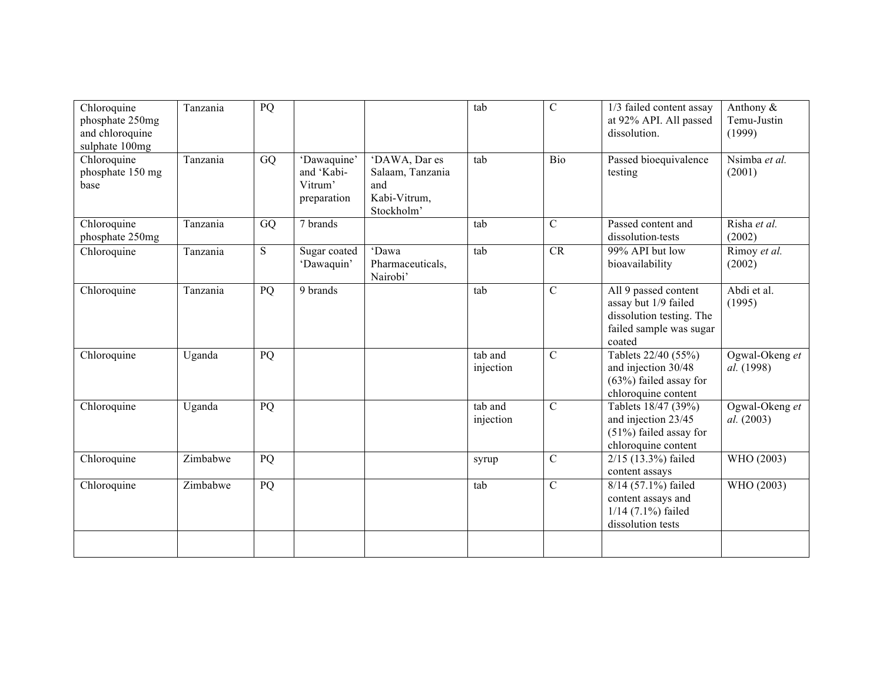| Chloroquine<br>phosphate 250mg<br>and chloroquine<br>sulphate 100mg | Tanzania | PQ        |                                                     |                                                                        | tab                  | $\mathcal{C}$  | 1/3 failed content assay<br>at 92% API. All passed<br>dissolution.                                            | Anthony &<br>Temu-Justin<br>(1999) |
|---------------------------------------------------------------------|----------|-----------|-----------------------------------------------------|------------------------------------------------------------------------|----------------------|----------------|---------------------------------------------------------------------------------------------------------------|------------------------------------|
| Chloroquine<br>phosphate 150 mg<br>base                             | Tanzania | GQ        | 'Dawaquine'<br>and 'Kabi-<br>Vitrum'<br>preparation | 'DAWA, Dar es<br>Salaam, Tanzania<br>and<br>Kabi-Vitrum,<br>Stockholm' | tab                  | Bio            | Passed bioequivalence<br>testing                                                                              | Nsimba et al.<br>(2001)            |
| Chloroquine<br>phosphate 250mg                                      | Tanzania | GQ        | 7 brands                                            |                                                                        | tab                  | $\mathbf C$    | Passed content and<br>dissolution tests                                                                       | Risha et al.<br>(2002)             |
| Chloroquine                                                         | Tanzania | ${\bf S}$ | Sugar coated<br>'Dawaquin'                          | 'Dawa<br>Pharmaceuticals,<br>Nairobi'                                  | tab                  | CR             | 99% API but low<br>bioavailability                                                                            | Rimoy et al.<br>(2002)             |
| Chloroquine                                                         | Tanzania | PQ        | 9 brands                                            |                                                                        | tab                  | $\mathcal{C}$  | All 9 passed content<br>assay but 1/9 failed<br>dissolution testing. The<br>failed sample was sugar<br>coated | Abdi et al.<br>(1995)              |
| Chloroquine                                                         | Uganda   | PQ        |                                                     |                                                                        | tab and<br>injection | $\overline{C}$ | Tablets 22/40 (55%)<br>and injection 30/48<br>$(63%)$ failed assay for<br>chloroquine content                 | Ogwal-Okeng et<br>al. (1998)       |
| Chloroquine                                                         | Uganda   | PQ        |                                                     |                                                                        | tab and<br>injection | $\mathcal{C}$  | Tablets 18/47 (39%)<br>and injection 23/45<br>$(51\%)$ failed assay for<br>chloroquine content                | Ogwal-Okeng et<br>al. (2003)       |
| Chloroquine                                                         | Zimbabwe | PQ        |                                                     |                                                                        | syrup                | $\overline{C}$ | 2/15 (13.3%) failed<br>content assays                                                                         | WHO (2003)                         |
| Chloroquine                                                         | Zimbabwe | PQ        |                                                     |                                                                        | tab                  | $\mathcal{C}$  | 8/14 (57.1%) failed<br>content assays and<br>$1/14$ (7.1%) failed<br>dissolution tests                        | WHO (2003)                         |
|                                                                     |          |           |                                                     |                                                                        |                      |                |                                                                                                               |                                    |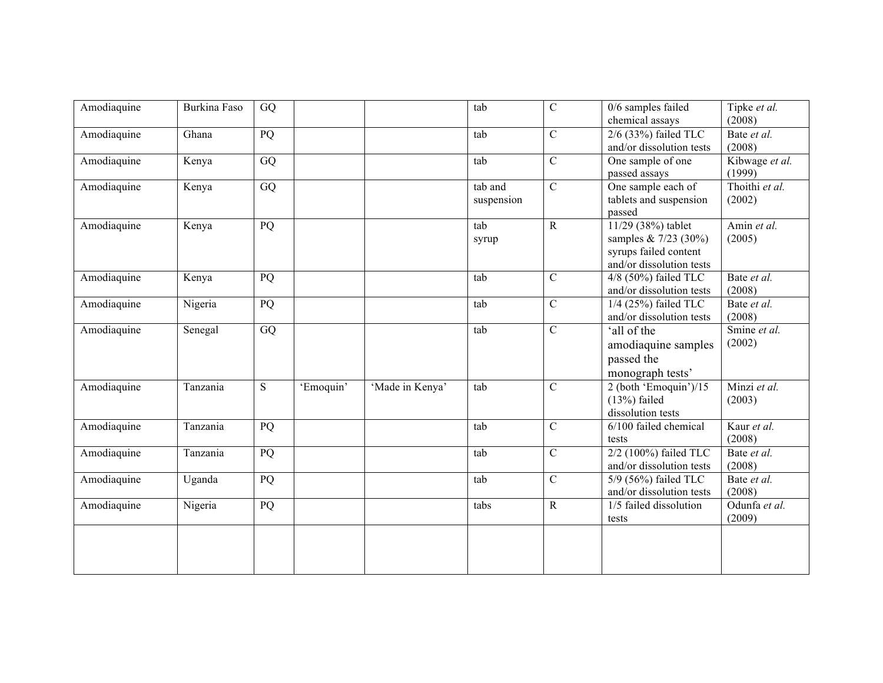| Amodiaquine | Burkina Faso | GQ        |           |                 | tab        | $\mathsf{C}$   | $0/6$ samples failed     | Tipke et al.   |
|-------------|--------------|-----------|-----------|-----------------|------------|----------------|--------------------------|----------------|
|             |              |           |           |                 |            |                | chemical assays          | (2008)         |
| Amodiaquine | Ghana        | PQ        |           |                 | tab        | $\mathcal{C}$  | $2/6$ (33%) failed TLC   | Bate et al.    |
|             |              |           |           |                 |            |                | and/or dissolution tests | (2008)         |
| Amodiaquine | Kenya        | GQ        |           |                 | tab        | $\mathsf{C}$   | One sample of one        | Kibwage et al. |
|             |              |           |           |                 |            |                | passed assays            | (1999)         |
| Amodiaquine | Kenya        | GQ        |           |                 | tab and    | $\mathcal{C}$  | One sample each of       | Thoithi et al. |
|             |              |           |           |                 | suspension |                | tablets and suspension   | (2002)         |
|             |              |           |           |                 |            |                | passed                   |                |
| Amodiaquine | Kenya        | PQ        |           |                 | tab        | $\mathbf{R}$   | 11/29 (38%) tablet       | Amin et al.    |
|             |              |           |           |                 | syrup      |                | samples $& 7/23 (30%)$   | (2005)         |
|             |              |           |           |                 |            |                | syrups failed content    |                |
|             |              |           |           |                 |            |                | and/or dissolution tests |                |
| Amodiaquine | Kenya        | PQ        |           |                 | tab        | $\mathbf C$    | 4/8 (50%) failed TLC     | Bate et al.    |
|             |              |           |           |                 |            |                | and/or dissolution tests | (2008)         |
| Amodiaquine | Nigeria      | PQ        |           |                 | tab        | $\mathcal{C}$  | 1/4 (25%) failed TLC     | Bate et al.    |
|             |              |           |           |                 |            |                | and/or dissolution tests | (2008)         |
| Amodiaquine | Senegal      | GQ        |           |                 | tab        | $\mathcal{C}$  | 'all of the              | Smine et al.   |
|             |              |           |           |                 |            |                | amodiaquine samples      | (2002)         |
|             |              |           |           |                 |            |                | passed the               |                |
|             |              |           |           |                 |            |                | monograph tests'         |                |
| Amodiaquine | Tanzania     | ${\bf S}$ | 'Emoquin' | 'Made in Kenya' | tab        | $\mathcal{C}$  | 2 (both 'Emoquin')/15    | Minzi et al.   |
|             |              |           |           |                 |            |                | $(13%)$ failed           | (2003)         |
|             |              |           |           |                 |            |                | dissolution tests        |                |
|             |              |           |           |                 |            | $\mathbf C$    | 6/100 failed chemical    |                |
| Amodiaquine | Tanzania     | PQ        |           |                 | tab        |                |                          | Kaur et al.    |
|             |              |           |           |                 |            |                | tests                    | (2008)         |
| Amodiaquine | Tanzania     | PQ        |           |                 | tab        | $\mathsf{C}$   | 2/2 (100%) failed TLC    | Bate et al.    |
|             |              |           |           |                 |            |                | and/or dissolution tests | (2008)         |
| Amodiaquine | Uganda       | PQ        |           |                 | tab        | $\overline{C}$ | 5/9 (56%) failed TLC     | Bate et al.    |
|             |              |           |           |                 |            |                | and/or dissolution tests | (2008)         |
| Amodiaquine | Nigeria      | PQ        |           |                 | tabs       | $\mathbf R$    | 1/5 failed dissolution   | Odunfa et al.  |
|             |              |           |           |                 |            |                | tests                    | (2009)         |
|             |              |           |           |                 |            |                |                          |                |
|             |              |           |           |                 |            |                |                          |                |
|             |              |           |           |                 |            |                |                          |                |
|             |              |           |           |                 |            |                |                          |                |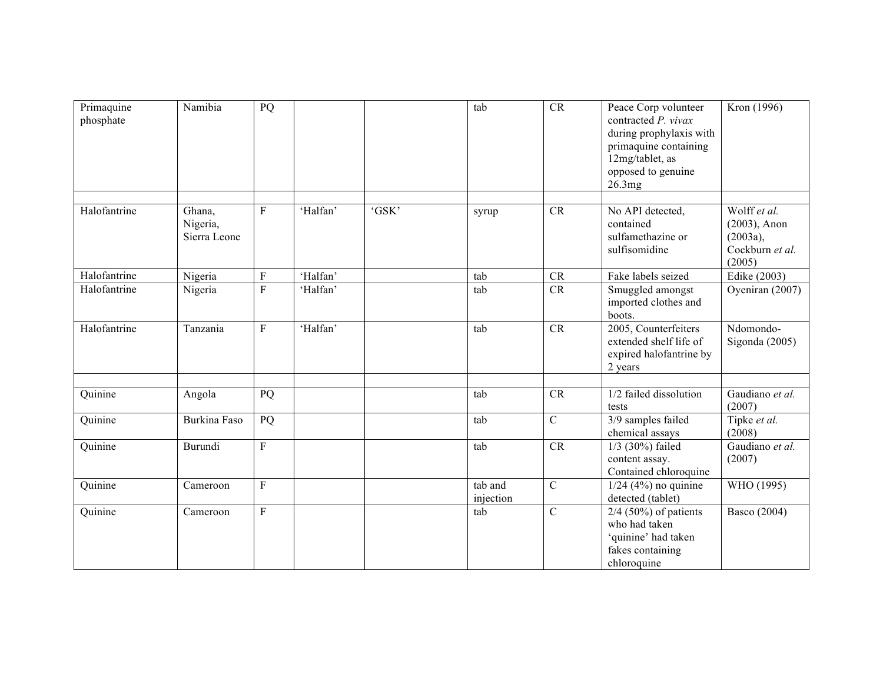| Primaquine<br>phosphate | Namibia                            | PQ             |          |       | tab                  | CR             | Peace Corp volunteer<br>contracted P. vivax<br>during prophylaxis with<br>primaquine containing<br>12mg/tablet, as<br>opposed to genuine<br>26.3mg | Kron (1996)                                                              |
|-------------------------|------------------------------------|----------------|----------|-------|----------------------|----------------|----------------------------------------------------------------------------------------------------------------------------------------------------|--------------------------------------------------------------------------|
|                         |                                    |                |          |       |                      |                |                                                                                                                                                    |                                                                          |
| Halofantrine            | Ghana,<br>Nigeria,<br>Sierra Leone | $\mathbf{F}$   | 'Halfan' | 'GSK' | syrup                | <b>CR</b>      | No API detected,<br>contained<br>sulfamethazine or<br>sulfisomidine                                                                                | Wolff et al.<br>$(2003)$ , Anon<br>(2003a),<br>Cockburn et al.<br>(2005) |
| Halofantrine            | Nigeria                            | ${\bf F}$      | 'Halfan' |       | tab                  | CR             | Fake labels seized                                                                                                                                 | Edike (2003)                                                             |
| Halofantrine            | Nigeria                            | ${\bf F}$      | 'Halfan' |       | tab                  | CR             | Smuggled amongst<br>imported clothes and<br>boots.                                                                                                 | Oyeniran (2007)                                                          |
| Halofantrine            | Tanzania                           | $\mathbf{F}$   | 'Halfan' |       | tab                  | CR             | 2005, Counterfeiters<br>extended shelf life of<br>expired halofantrine by<br>2 years                                                               | Ndomondo-<br>Sigonda $(2005)$                                            |
|                         |                                    |                |          |       |                      |                |                                                                                                                                                    |                                                                          |
| Quinine                 | Angola                             | PQ             |          |       | tab                  | CR             | 1/2 failed dissolution<br>tests                                                                                                                    | Gaudiano et al.<br>(2007)                                                |
| Quinine                 | Burkina Faso                       | PQ             |          |       | tab                  | $\overline{C}$ | 3/9 samples failed<br>chemical assays                                                                                                              | Tipke et al.<br>(2008)                                                   |
| Quinine                 | Burundi                            | $\rm F$        |          |       | tab                  | CR             | $1/3$ (30%) failed<br>content assay.<br>Contained chloroquine                                                                                      | Gaudiano et al.<br>(2007)                                                |
| Quinine                 | Cameroon                           | $\mathbf{F}$   |          |       | tab and<br>injection | $\mathbf C$    | $1/24$ (4%) no quinine<br>detected (tablet)                                                                                                        | WHO (1995)                                                               |
| Quinine                 | Cameroon                           | $\overline{F}$ |          |       | tab                  | $\mathcal{C}$  | $2/4$ (50%) of patients<br>who had taken<br>'quinine' had taken<br>fakes containing<br>chloroquine                                                 | <b>Basco</b> (2004)                                                      |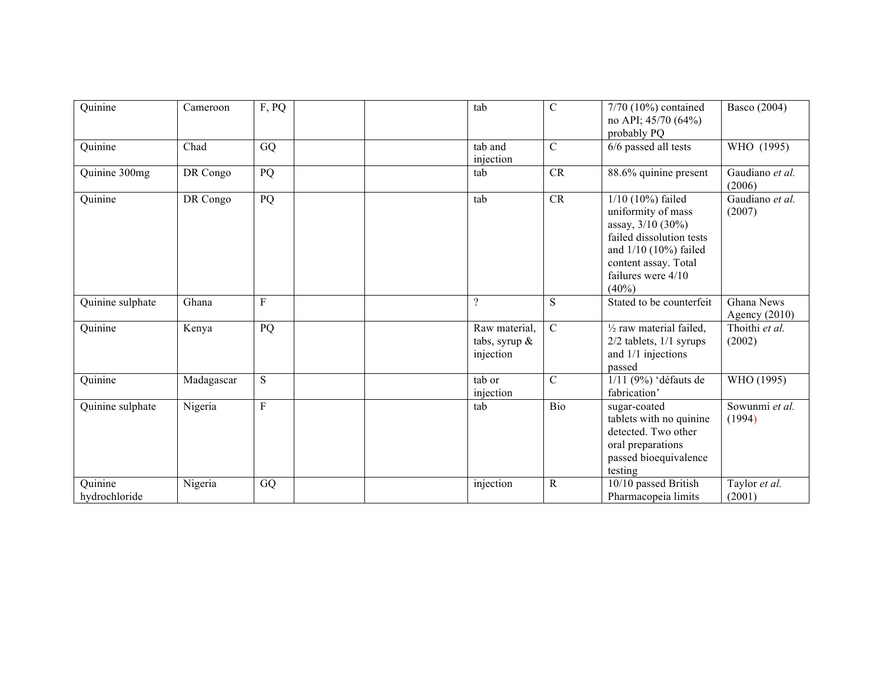| Quinine                  | Cameroon   | F, PQ       | tab                                            | $\overline{C}$ | 7/70 (10%) contained<br>no API; $45/70(64%)$<br>probably PQ                                                                                                                     | Basco (2004)                  |
|--------------------------|------------|-------------|------------------------------------------------|----------------|---------------------------------------------------------------------------------------------------------------------------------------------------------------------------------|-------------------------------|
| Quinine                  | Chad       | GQ          | tab and<br>injection                           | C              | 6/6 passed all tests                                                                                                                                                            | WHO (1995)                    |
| Quinine 300mg            | DR Congo   | PQ          | tab                                            | <b>CR</b>      | 88.6% quinine present                                                                                                                                                           | Gaudiano et al.<br>(2006)     |
| Quinine                  | DR Congo   | PQ          | tab                                            | CR             | $1/10$ (10%) failed<br>uniformity of mass<br>assay, 3/10 (30%)<br>failed dissolution tests<br>and $1/10$ (10%) failed<br>content assay. Total<br>failures were 4/10<br>$(40\%)$ | Gaudiano et al.<br>(2007)     |
| Quinine sulphate         | Ghana      | $\rm F$     | $\gamma$                                       | S.             | Stated to be counterfeit                                                                                                                                                        | Ghana News<br>Agency $(2010)$ |
| Quinine                  | Kenya      | PQ          | Raw material,<br>tabs, syrup $\&$<br>injection | C              | $\frac{1}{2}$ raw material failed,<br>$2/2$ tablets, $1/1$ syrups<br>and 1/1 injections<br>passed                                                                               | Thoithi et al.<br>(2002)      |
| Quinine                  | Madagascar | ${\bf S}$   | tab or<br>injection                            | C              | $1/11$ (9%) 'défauts de<br>fabrication'                                                                                                                                         | WHO (1995)                    |
| Quinine sulphate         | Nigeria    | $\mathbf F$ | tab                                            | Bio            | sugar-coated<br>tablets with no quinine<br>detected. Two other<br>oral preparations<br>passed bioequivalence<br>testing                                                         | Sowunmi et al.<br>(1994)      |
| Quinine<br>hydrochloride | Nigeria    | GQ          | injection                                      | R              | 10/10 passed British<br>Pharmacopeia limits                                                                                                                                     | Taylor et al.<br>(2001)       |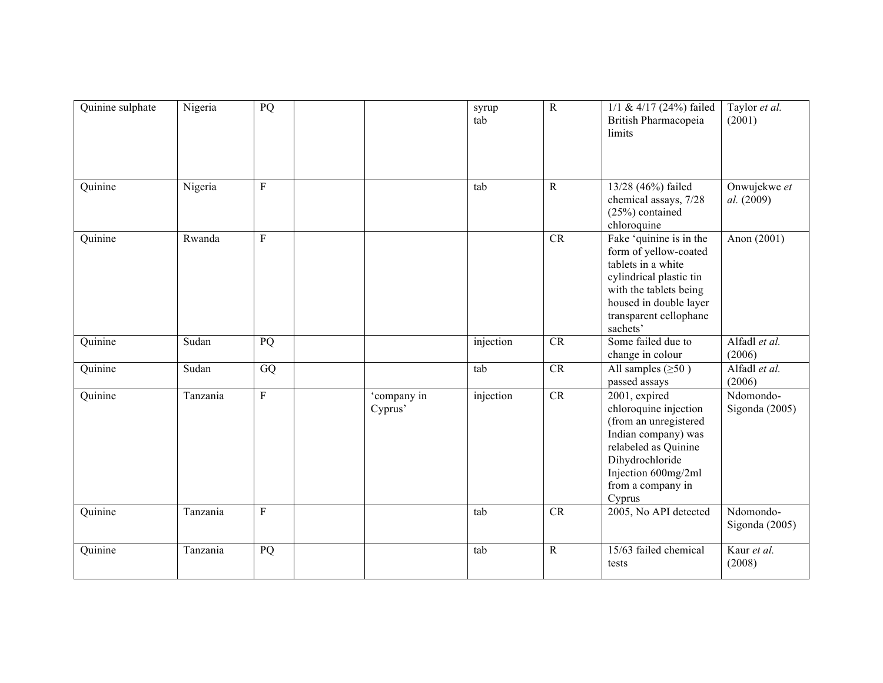| Quinine sulphate | Nigeria  | PQ           |                        | syrup<br>tab | $\overline{R}$ | $1/1$ & $4/17$ (24%) failed<br>British Pharmacopeia<br>limits                                                                                                                               | Taylor et al.<br>(2001)       |
|------------------|----------|--------------|------------------------|--------------|----------------|---------------------------------------------------------------------------------------------------------------------------------------------------------------------------------------------|-------------------------------|
| Quinine          | Nigeria  | $\rm F$      |                        | tab          | ${\bf R}$      | 13/28 (46%) failed<br>chemical assays, 7/28<br>$(25%)$ contained<br>chloroquine                                                                                                             | Onwujekwe et<br>al. (2009)    |
| Quinine          | Rwanda   | $\mathbf{F}$ |                        |              | CR             | Fake 'quinine is in the<br>form of yellow-coated<br>tablets in a white<br>cylindrical plastic tin<br>with the tablets being<br>housed in double layer<br>transparent cellophane<br>sachets' | Anon (2001)                   |
| Quinine          | Sudan    | PQ           |                        | injection    | CR             | Some failed due to<br>change in colour                                                                                                                                                      | Alfadl et al.<br>(2006)       |
| Quinine          | Sudan    | GQ           |                        | tab          | CR             | All samples $(\geq 50)$<br>passed assays                                                                                                                                                    | Alfadl et al.<br>(2006)       |
| Quinine          | Tanzania | ${\bf F}$    | 'company in<br>Cyprus' | injection    | CR             | 2001, expired<br>chloroquine injection<br>(from an unregistered<br>Indian company) was<br>relabeled as Quinine<br>Dihydrochloride<br>Injection 600mg/2ml<br>from a company in<br>Cyprus     | Ndomondo-<br>Sigonda (2005)   |
| Quinine          | Tanzania | $\rm F$      |                        | tab          | CR             | 2005, No API detected                                                                                                                                                                       | Ndomondo-<br>Sigonda $(2005)$ |
| Quinine          | Tanzania | PQ           |                        | tab          | ${\bf R}$      | 15/63 failed chemical<br>tests                                                                                                                                                              | Kaur et al.<br>(2008)         |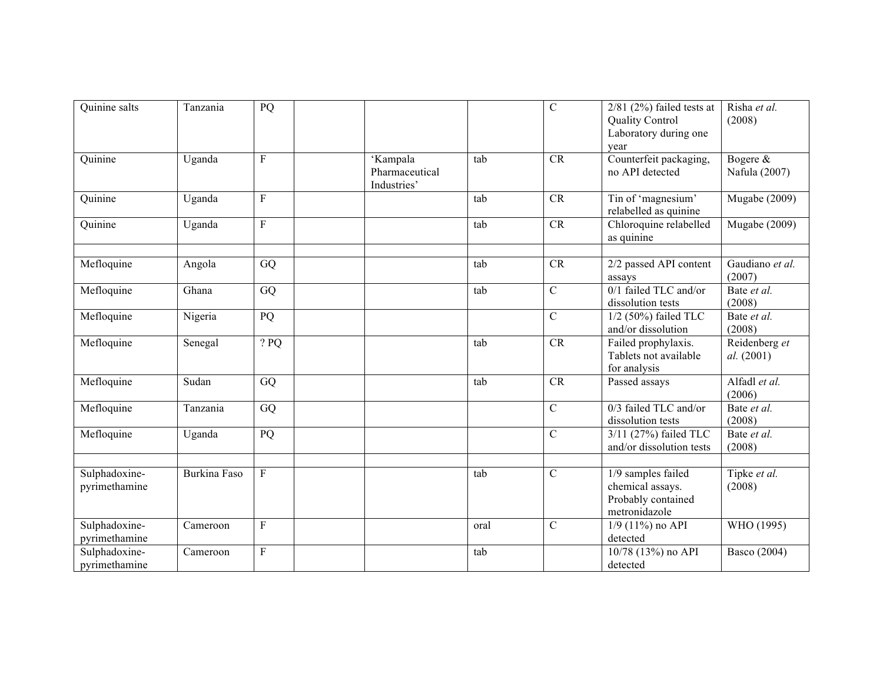| Quinine salts                  | Tanzania     | PQ             |                                           |      | $\mathcal{C}$ | $2/81$ ( $2\%$ ) failed tests at<br><b>Quality Control</b><br>Laboratory during one<br>vear | Risha et al.<br>(2008)      |
|--------------------------------|--------------|----------------|-------------------------------------------|------|---------------|---------------------------------------------------------------------------------------------|-----------------------------|
| Quinine                        | Uganda       | F              | 'Kampala<br>Pharmaceutical<br>Industries' | tab  | <b>CR</b>     | Counterfeit packaging,<br>no API detected                                                   | Bogere &<br>Nafula (2007)   |
| Quinine                        | Uganda       | $\mathbf{F}$   |                                           | tab  | CR            | Tin of 'magnesium'<br>relabelled as quinine                                                 | Mugabe (2009)               |
| Quinine                        | Uganda       | $\mathbf{F}$   |                                           | tab  | <b>CR</b>     | Chloroquine relabelled<br>as quinine                                                        | <b>Mugabe</b> (2009)        |
| Mefloquine                     | Angola       | GQ             |                                           | tab  | CR            | 2/2 passed API content<br>assays                                                            | Gaudiano et al.<br>(2007)   |
| Mefloquine                     | Ghana        | GQ             |                                           | tab  | $\mathcal{C}$ | 0/1 failed TLC and/or<br>dissolution tests                                                  | Bate et al.<br>(2008)       |
| Mefloquine                     | Nigeria      | PQ             |                                           |      | $\mathbf C$   | $1/2$ (50%) failed TLC<br>and/or dissolution                                                | Bate et al.<br>(2008)       |
| Mefloquine                     | Senegal      | ? PQ           |                                           | tab  | <b>CR</b>     | Failed prophylaxis.<br>Tablets not available<br>for analysis                                | Reidenberg et<br>al. (2001) |
| Mefloquine                     | Sudan        | GQ             |                                           | tab  | <b>CR</b>     | Passed assays                                                                               | Alfadl et al.<br>(2006)     |
| Mefloquine                     | Tanzania     | GQ             |                                           |      | $\mathcal{C}$ | 0/3 failed TLC and/or<br>dissolution tests                                                  | Bate et al.<br>(2008)       |
| Mefloquine                     | Uganda       | PQ             |                                           |      | $\mathcal{C}$ | 3/11 (27%) failed TLC<br>and/or dissolution tests                                           | Bate et al.<br>(2008)       |
| Sulphadoxine-<br>pyrimethamine | Burkina Faso | $\overline{F}$ |                                           | tab  | $\mathcal{C}$ | 1/9 samples failed<br>chemical assays.<br>Probably contained<br>metronidazole               | Tipke et al.<br>(2008)      |
| Sulphadoxine-<br>pyrimethamine | Cameroon     | $\rm F$        |                                           | oral | $\mathbf C$   | $1/9$ (11%) no API<br>detected                                                              | WHO (1995)                  |
| Sulphadoxine-<br>pyrimethamine | Cameroon     | $\mathbf{F}$   |                                           | tab  |               | 10/78 (13%) no API<br>detected                                                              | Basco (2004)                |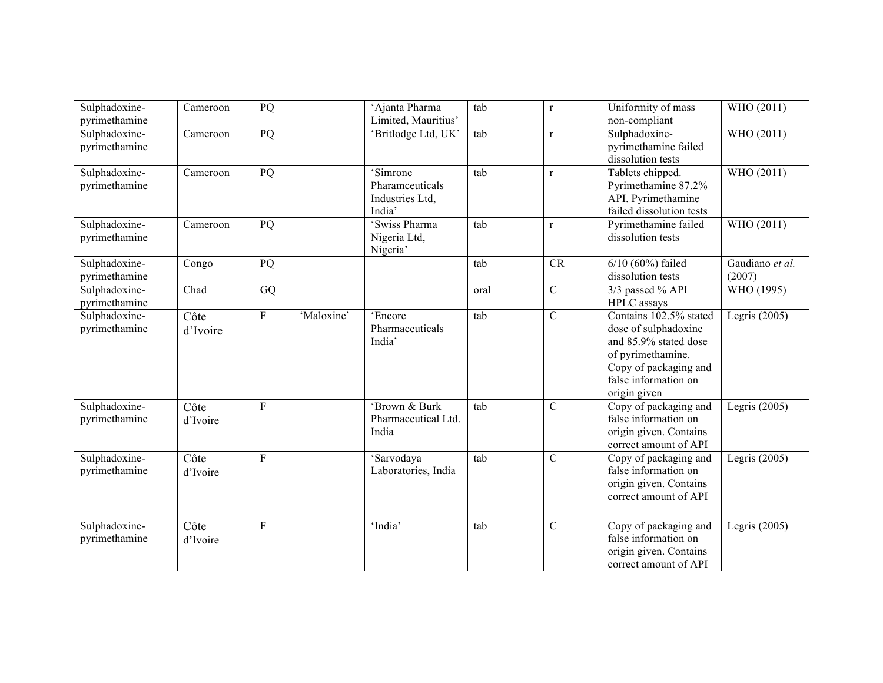| Sulphadoxine-<br>pyrimethamine | Cameroon         | PQ              |            | 'Ajanta Pharma<br>Limited, Mauritius'                    | tab  | $\mathbf r$    | Uniformity of mass<br>non-compliant                                                                                                                           | WHO (2011)                |
|--------------------------------|------------------|-----------------|------------|----------------------------------------------------------|------|----------------|---------------------------------------------------------------------------------------------------------------------------------------------------------------|---------------------------|
| Sulphadoxine-<br>pyrimethamine | Cameroon         | PQ              |            | 'Britlodge Ltd, UK'                                      | tab  | $\mathbf r$    | Sulphadoxine-<br>pyrimethamine failed<br>dissolution tests                                                                                                    | WHO (2011)                |
| Sulphadoxine-<br>pyrimethamine | Cameroon         | $\overline{PQ}$ |            | 'Simrone<br>Pharamceuticals<br>Industries Ltd,<br>India' | tab  | $\mathbf{r}$   | Tablets chipped.<br>Pyrimethamine 87.2%<br>API. Pyrimethamine<br>failed dissolution tests                                                                     | WHO (2011)                |
| Sulphadoxine-<br>pyrimethamine | Cameroon         | PQ              |            | 'Swiss Pharma<br>Nigeria Ltd,<br>Nigeria'                | tab  | $\mathbf{r}$   | Pyrimethamine failed<br>dissolution tests                                                                                                                     | WHO (2011)                |
| Sulphadoxine-<br>pyrimethamine | Congo            | PQ              |            |                                                          | tab  | <b>CR</b>      | $6/10$ (60%) failed<br>dissolution tests                                                                                                                      | Gaudiano et al.<br>(2007) |
| Sulphadoxine-<br>pyrimethamine | Chad             | GQ              |            |                                                          | oral | $\mathcal{C}$  | 3/3 passed % API<br>HPLC assays                                                                                                                               | WHO (1995)                |
| Sulphadoxine-<br>pyrimethamine | Côte<br>d'Ivoire | $\overline{F}$  | 'Maloxine' | 'Encore<br>Pharmaceuticals<br>India'                     | tab  | $\mathcal{C}$  | Contains 102.5% stated<br>dose of sulphadoxine<br>and 85.9% stated dose<br>of pyrimethamine.<br>Copy of packaging and<br>false information on<br>origin given | Legris $(2005)$           |
| Sulphadoxine-<br>pyrimethamine | Côte<br>d'Ivoire | $\mathbf{F}$    |            | 'Brown & Burk<br>Pharmaceutical Ltd.<br>India            | tab  | $\overline{C}$ | Copy of packaging and<br>false information on<br>origin given. Contains<br>correct amount of API                                                              | Legris $(2005)$           |
| Sulphadoxine-<br>pyrimethamine | Côte<br>d'Ivoire | $\overline{F}$  |            | 'Sarvodaya<br>Laboratories, India                        | tab  | $\overline{C}$ | Copy of packaging and<br>false information on<br>origin given. Contains<br>correct amount of API                                                              | Legris $(2005)$           |
| Sulphadoxine-<br>pyrimethamine | Côte<br>d'Ivoire | $\overline{F}$  |            | 'India'                                                  | tab  | $\overline{C}$ | Copy of packaging and<br>false information on<br>origin given. Contains<br>correct amount of API                                                              | Legris $(2005)$           |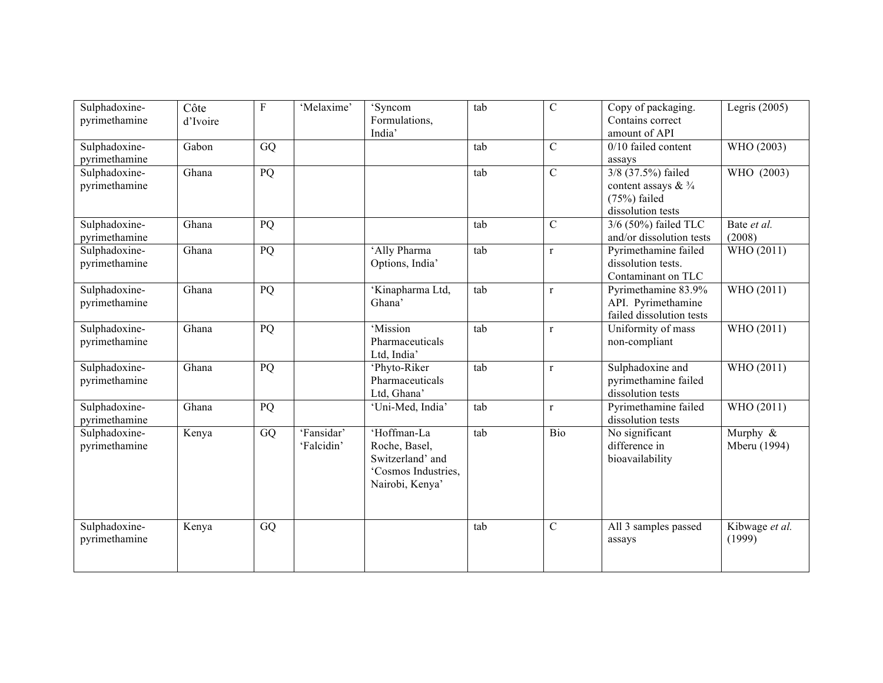| Sulphadoxine- | Côte     | $\rm F$ | 'Melaxime' | 'Syncom                         | tab | $\mathbf C$    | Copy of packaging.                        | Legris $(2005)$ |
|---------------|----------|---------|------------|---------------------------------|-----|----------------|-------------------------------------------|-----------------|
| pyrimethamine | d'Ivoire |         |            | Formulations,<br>India'         |     |                | Contains correct<br>amount of API         |                 |
| Sulphadoxine- | Gabon    | GQ      |            |                                 | tab | $\mathcal{C}$  | $0/10$ failed content                     | WHO (2003)      |
| pyrimethamine |          |         |            |                                 |     |                | assays                                    |                 |
| Sulphadoxine- | Ghana    | PQ      |            |                                 | tab | $\overline{C}$ | 3/8 (37.5%) failed                        | WHO (2003)      |
| pyrimethamine |          |         |            |                                 |     |                | content assays $& 3/4$                    |                 |
|               |          |         |            |                                 |     |                | $(75%)$ failed                            |                 |
|               |          |         |            |                                 |     |                | dissolution tests                         |                 |
| Sulphadoxine- | Ghana    | PQ      |            |                                 | tab | $\overline{C}$ | 3/6 (50%) failed TLC                      | Bate et al.     |
| pyrimethamine |          |         |            |                                 |     |                | and/or dissolution tests                  | (2008)          |
| Sulphadoxine- | Ghana    | PQ      |            | 'Ally Pharma                    | tab | $\mathbf{r}$   | Pyrimethamine failed                      | WHO (2011)      |
| pyrimethamine |          |         |            | Options, India'                 |     |                | dissolution tests.                        |                 |
|               |          |         |            |                                 |     |                | Contaminant on TLC                        |                 |
| Sulphadoxine- | Ghana    | PQ      |            | 'Kinapharma Ltd,                | tab | $\mathbf{r}$   | Pyrimethamine 83.9%                       | WHO (2011)      |
| pyrimethamine |          |         |            | Ghana'                          |     |                | API. Pyrimethamine                        |                 |
|               |          |         |            |                                 |     |                | failed dissolution tests                  |                 |
| Sulphadoxine- | Ghana    | PQ      |            | 'Mission                        | tab | $\mathbf{r}$   | Uniformity of mass                        | WHO (2011)      |
| pyrimethamine |          |         |            | Pharmaceuticals                 |     |                | non-compliant                             |                 |
|               |          |         |            | Ltd, India'                     |     |                |                                           |                 |
| Sulphadoxine- | Ghana    | PQ      |            | 'Phyto-Riker<br>Pharmaceuticals | tab | $\mathbf r$    | Sulphadoxine and                          | WHO (2011)      |
| pyrimethamine |          |         |            | Ltd, Ghana'                     |     |                | pyrimethamine failed<br>dissolution tests |                 |
| Sulphadoxine- | Ghana    | PQ      |            | 'Uni-Med, India'                | tab | $\mathbf r$    | Pyrimethamine failed                      | WHO (2011)      |
| pyrimethamine |          |         |            |                                 |     |                | dissolution tests                         |                 |
| Sulphadoxine- | Kenya    | GQ      | 'Fansidar' | 'Hoffman-La                     | tab | <b>Bio</b>     | No significant                            | Murphy &        |
| pyrimethamine |          |         | 'Falcidin' | Roche, Basel,                   |     |                | difference in                             | Mberu (1994)    |
|               |          |         |            | Switzerland' and                |     |                | bioavailability                           |                 |
|               |          |         |            | 'Cosmos Industries,             |     |                |                                           |                 |
|               |          |         |            | Nairobi, Kenya'                 |     |                |                                           |                 |
|               |          |         |            |                                 |     |                |                                           |                 |
|               |          |         |            |                                 |     |                |                                           |                 |
| Sulphadoxine- | Kenya    | GQ      |            |                                 | tab | $\overline{C}$ | All 3 samples passed                      | Kibwage et al.  |
| pyrimethamine |          |         |            |                                 |     |                | assays                                    | (1999)          |
|               |          |         |            |                                 |     |                |                                           |                 |
|               |          |         |            |                                 |     |                |                                           |                 |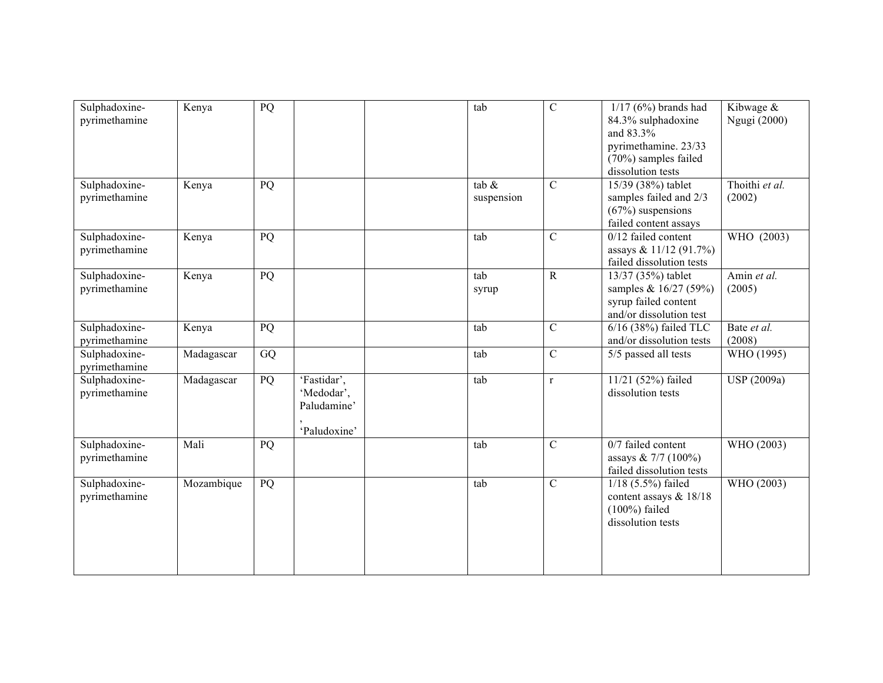| Sulphadoxine-<br>pyrimethamine | Kenya      | PQ |                                                          | tab                    | $\mathcal{C}$  | $1/17$ (6%) brands had<br>84.3% sulphadoxine<br>and 83.3%<br>pyrimethamine. 23/33<br>(70%) samples failed<br>dissolution tests | Kibwage &<br>Ngugi (2000) |
|--------------------------------|------------|----|----------------------------------------------------------|------------------------|----------------|--------------------------------------------------------------------------------------------------------------------------------|---------------------------|
| Sulphadoxine-<br>pyrimethamine | Kenya      | PQ |                                                          | tab $\&$<br>suspension | $\mathcal{C}$  | 15/39 (38%) tablet<br>samples failed and 2/3<br>$(67%)$ suspensions<br>failed content assays                                   | Thoithi et al.<br>(2002)  |
| Sulphadoxine-<br>pyrimethamine | Kenya      | PQ |                                                          | tab                    | $\mathbf C$    | $0/12$ failed content<br>assays & 11/12 (91.7%)<br>failed dissolution tests                                                    | WHO (2003)                |
| Sulphadoxine-<br>pyrimethamine | Kenya      | PQ |                                                          | tab<br>syrup           | $\overline{R}$ | 13/37 (35%) tablet<br>samples & 16/27 (59%)<br>syrup failed content<br>and/or dissolution test                                 | Amin et al.<br>(2005)     |
| Sulphadoxine-<br>pyrimethamine | Kenya      | PQ |                                                          | tab                    | $\overline{C}$ | 6/16 (38%) failed TLC<br>and/or dissolution tests                                                                              | Bate et al.<br>(2008)     |
| Sulphadoxine-<br>pyrimethamine | Madagascar | GQ |                                                          | tab                    | $\mathcal{C}$  | 5/5 passed all tests                                                                                                           | WHO (1995)                |
| Sulphadoxine-<br>pyrimethamine | Madagascar | PQ | 'Fastidar',<br>'Medodar',<br>Paludamine'<br>'Paludoxine' | tab                    | $\mathbf r$    | 11/21 (52%) failed<br>dissolution tests                                                                                        | USP (2009a)               |
| Sulphadoxine-<br>pyrimethamine | Mali       | PQ |                                                          | tab                    | $\mathcal{C}$  | 0/7 failed content<br>assays & $7/7$ (100%)<br>failed dissolution tests                                                        | WHO (2003)                |
| Sulphadoxine-<br>pyrimethamine | Mozambique | PQ |                                                          | tab                    | $\overline{C}$ | $1/18$ (5.5%) failed<br>content assays & 18/18<br>$(100\%)$ failed<br>dissolution tests                                        | WHO (2003)                |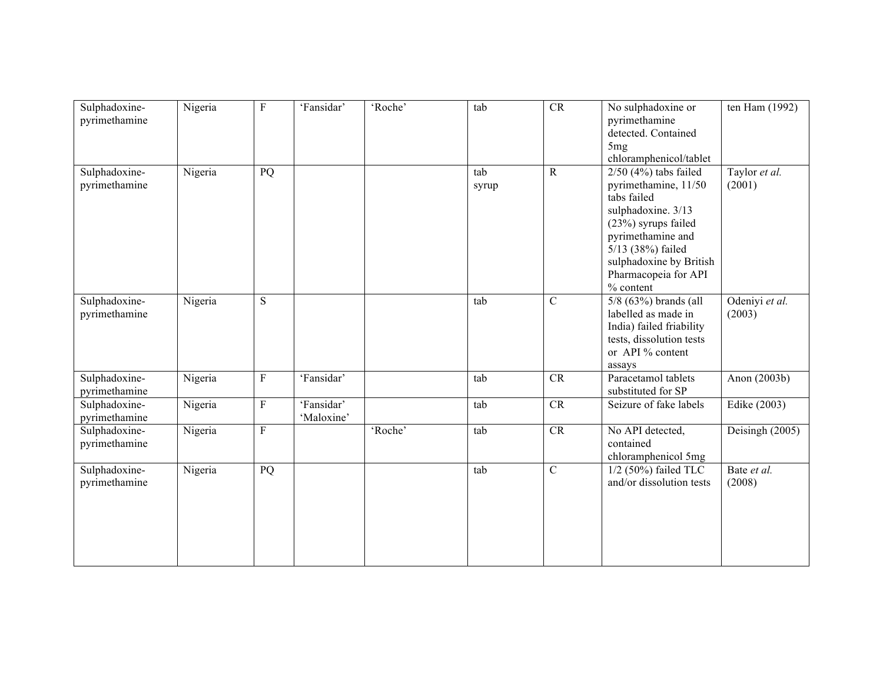| Sulphadoxine-<br>pyrimethamine | Nigeria | ${\bf F}$   | 'Fansidar'               | 'Roche' | tab          | CR            | No sulphadoxine or<br>pyrimethamine<br>detected. Contained<br>5 <sub>mg</sub><br>chloramphenicol/tablet                                                                                                               | ten Ham (1992)           |
|--------------------------------|---------|-------------|--------------------------|---------|--------------|---------------|-----------------------------------------------------------------------------------------------------------------------------------------------------------------------------------------------------------------------|--------------------------|
| Sulphadoxine-<br>pyrimethamine | Nigeria | PQ          |                          |         | tab<br>syrup | $\mathbf R$   | $2/50$ (4%) tabs failed<br>pyrimethamine, 11/50<br>tabs failed<br>sulphadoxine. 3/13<br>(23%) syrups failed<br>pyrimethamine and<br>5/13 (38%) failed<br>sulphadoxine by British<br>Pharmacopeia for API<br>% content | Taylor et al.<br>(2001)  |
| Sulphadoxine-<br>pyrimethamine | Nigeria | S           |                          |         | tab          | $\mathcal{C}$ | $5/8$ (63%) brands (all<br>labelled as made in<br>India) failed friability<br>tests, dissolution tests<br>or API % content<br>assays                                                                                  | Odeniyi et al.<br>(2003) |
| Sulphadoxine-<br>pyrimethamine | Nigeria | ${\bf F}$   | 'Fansidar'               |         | tab          | CR            | Paracetamol tablets<br>substituted for SP                                                                                                                                                                             | Anon (2003b)             |
| Sulphadoxine-<br>pyrimethamine | Nigeria | ${\bf F}$   | 'Fansidar'<br>'Maloxine' |         | tab          | CR            | Seizure of fake labels                                                                                                                                                                                                | Edike (2003)             |
| Sulphadoxine-<br>pyrimethamine | Nigeria | $\mathbf F$ |                          | 'Roche' | tab          | <b>CR</b>     | No API detected,<br>contained<br>chloramphenicol 5mg                                                                                                                                                                  | Deisingh (2005)          |
| Sulphadoxine-<br>pyrimethamine | Nigeria | PQ          |                          |         | tab          | $\mathcal{C}$ | 1/2 (50%) failed TLC<br>and/or dissolution tests                                                                                                                                                                      | Bate et al.<br>(2008)    |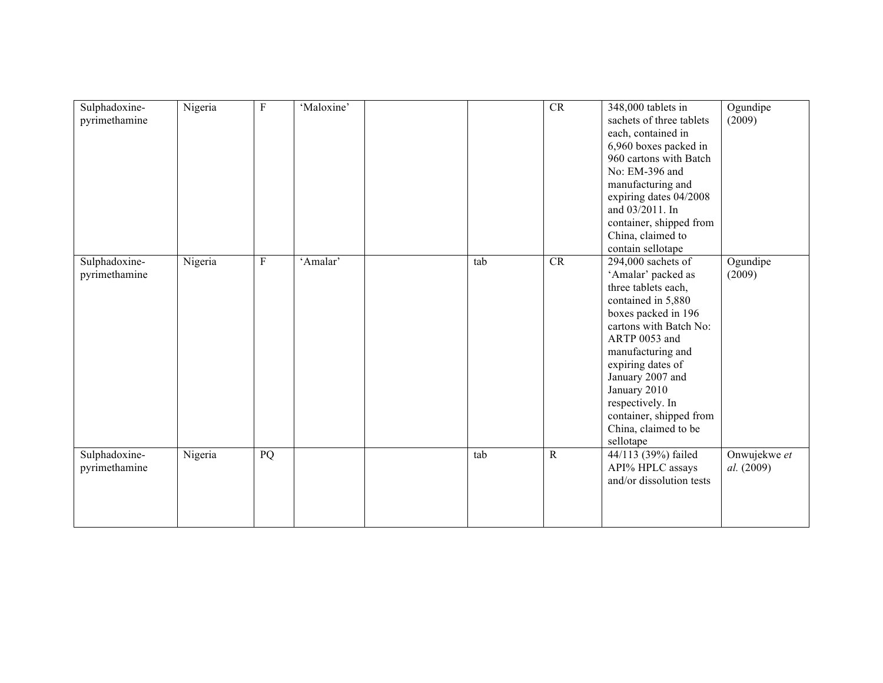| Sulphadoxine-<br>pyrimethamine | Nigeria | $\mathbf{F}$ | 'Maloxine' |     | CR          | 348,000 tablets in<br>sachets of three tablets<br>each, contained in<br>6,960 boxes packed in<br>960 cartons with Batch<br>No: EM-396 and<br>manufacturing and<br>expiring dates 04/2008<br>and 03/2011. In<br>container, shipped from<br>China, claimed to<br>contain sellotape                                            | Ogundipe<br>(2009)         |
|--------------------------------|---------|--------------|------------|-----|-------------|-----------------------------------------------------------------------------------------------------------------------------------------------------------------------------------------------------------------------------------------------------------------------------------------------------------------------------|----------------------------|
| Sulphadoxine-<br>pyrimethamine | Nigeria | ${\bf F}$    | 'Amalar'   | tab | <b>CR</b>   | $294,000$ sachets of<br>'Amalar' packed as<br>three tablets each,<br>contained in 5,880<br>boxes packed in 196<br>cartons with Batch No:<br>ARTP 0053 and<br>manufacturing and<br>expiring dates of<br>January 2007 and<br>January 2010<br>respectively. In<br>container, shipped from<br>China, claimed to be<br>sellotape | Ogundipe<br>(2009)         |
| Sulphadoxine-<br>pyrimethamine | Nigeria | PQ           |            | tab | $\mathbf R$ | 44/113 (39%) failed<br>API% HPLC assays<br>and/or dissolution tests                                                                                                                                                                                                                                                         | Onwujekwe et<br>al. (2009) |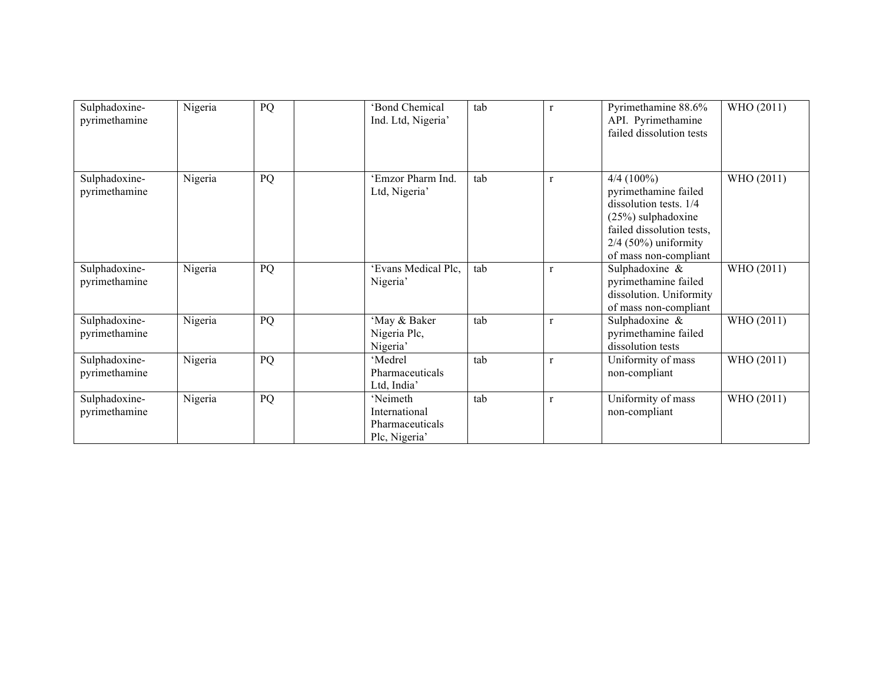| Sulphadoxine-<br>pyrimethamine | Nigeria | PQ | 'Bond Chemical<br>Ind. Ltd, Nigeria'                          | tab | $\mathbf{r}$ | Pyrimethamine 88.6%<br>API. Pyrimethamine<br>failed dissolution tests                                                                                                  | WHO (2011) |
|--------------------------------|---------|----|---------------------------------------------------------------|-----|--------------|------------------------------------------------------------------------------------------------------------------------------------------------------------------------|------------|
| Sulphadoxine-<br>pyrimethamine | Nigeria | PQ | 'Emzor Pharm Ind.<br>Ltd, Nigeria'                            | tab | $\mathbf{r}$ | $4/4(100\%)$<br>pyrimethamine failed<br>dissolution tests. 1/4<br>$(25%)$ sulphadoxine<br>failed dissolution tests,<br>$2/4$ (50%) uniformity<br>of mass non-compliant | WHO (2011) |
| Sulphadoxine-<br>pyrimethamine | Nigeria | PQ | 'Evans Medical Plc,<br>Nigeria'                               | tab | $\mathbf{r}$ | Sulphadoxine &<br>pyrimethamine failed<br>dissolution. Uniformity<br>of mass non-compliant                                                                             | WHO (2011) |
| Sulphadoxine-<br>pyrimethamine | Nigeria | PQ | 'May & Baker<br>Nigeria Plc,<br>Nigeria'                      | tab | $\mathbf{r}$ | Sulphadoxine &<br>pyrimethamine failed<br>dissolution tests                                                                                                            | WHO (2011) |
| Sulphadoxine-<br>pyrimethamine | Nigeria | PQ | 'Medrel<br>Pharmaceuticals<br>Ltd, India                      | tab | $\mathbf{r}$ | Uniformity of mass<br>non-compliant                                                                                                                                    | WHO (2011) |
| Sulphadoxine-<br>pyrimethamine | Nigeria | PQ | 'Neimeth<br>International<br>Pharmaceuticals<br>Plc, Nigeria' | tab | $\mathbf{r}$ | Uniformity of mass<br>non-compliant                                                                                                                                    | WHO (2011) |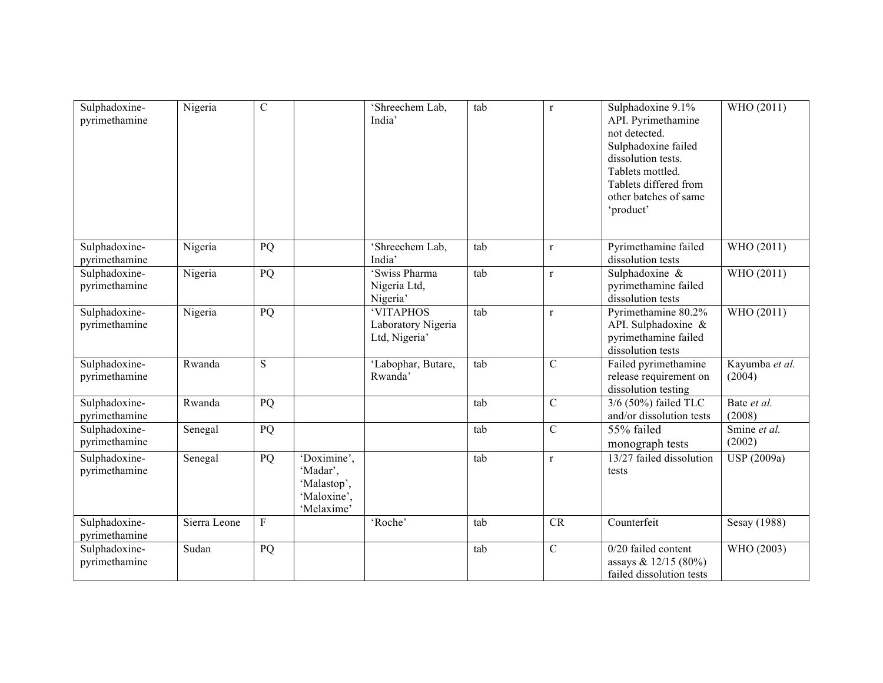| Sulphadoxine-<br>pyrimethamine | Nigeria      | $\mathcal{C}$ |                                                                     | 'Shreechem Lab,<br>India'                        | tab | $\mathbf{r}$   | Sulphadoxine 9.1%<br>API. Pyrimethamine<br>not detected.<br>Sulphadoxine failed<br>dissolution tests.<br>Tablets mottled.<br>Tablets differed from<br>other batches of same<br>'product' | WHO (2011)               |
|--------------------------------|--------------|---------------|---------------------------------------------------------------------|--------------------------------------------------|-----|----------------|------------------------------------------------------------------------------------------------------------------------------------------------------------------------------------------|--------------------------|
| Sulphadoxine-<br>pyrimethamine | Nigeria      | PQ            |                                                                     | 'Shreechem Lab,<br>India'                        | tab | $\mathbf r$    | Pyrimethamine failed<br>dissolution tests                                                                                                                                                | WHO (2011)               |
| Sulphadoxine-<br>pyrimethamine | Nigeria      | PQ            |                                                                     | 'Swiss Pharma<br>Nigeria Ltd,<br>Nigeria'        | tab | $\mathbf r$    | Sulphadoxine &<br>pyrimethamine failed<br>dissolution tests                                                                                                                              | WHO (2011)               |
| Sulphadoxine-<br>pyrimethamine | Nigeria      | PQ            |                                                                     | 'VITAPHOS<br>Laboratory Nigeria<br>Ltd, Nigeria' | tab | $\mathbf{r}$   | Pyrimethamine 80.2%<br>API. Sulphadoxine &<br>pyrimethamine failed<br>dissolution tests                                                                                                  | WHO (2011)               |
| Sulphadoxine-<br>pyrimethamine | Rwanda       | S             |                                                                     | 'Labophar, Butare,<br>Rwanda'                    | tab | $\overline{C}$ | Failed pyrimethamine<br>release requirement on<br>dissolution testing                                                                                                                    | Kayumba et al.<br>(2004) |
| Sulphadoxine-<br>pyrimethamine | Rwanda       | PQ            |                                                                     |                                                  | tab | $\mathcal{C}$  | 3/6 (50%) failed TLC<br>and/or dissolution tests                                                                                                                                         | Bate et al.<br>(2008)    |
| Sulphadoxine-<br>pyrimethamine | Senegal      | PQ            |                                                                     |                                                  | tab | $\mathcal{C}$  | 55% failed<br>monograph tests                                                                                                                                                            | Smine et al.<br>(2002)   |
| Sulphadoxine-<br>pyrimethamine | Senegal      | PQ            | 'Doximine',<br>'Madar',<br>'Malastop',<br>'Maloxine',<br>'Melaxime' |                                                  | tab | $\mathbf{r}$   | 13/27 failed dissolution<br>tests                                                                                                                                                        | USP (2009a)              |
| Sulphadoxine-<br>pyrimethamine | Sierra Leone | $\mathbf{F}$  |                                                                     | 'Roche'                                          | tab | CR             | Counterfeit                                                                                                                                                                              | Sesay (1988)             |
| Sulphadoxine-<br>pyrimethamine | Sudan        | PQ            |                                                                     |                                                  | tab | $\mathcal{C}$  | $0/20$ failed content<br>assays & $12/15(80\%)$<br>failed dissolution tests                                                                                                              | WHO (2003)               |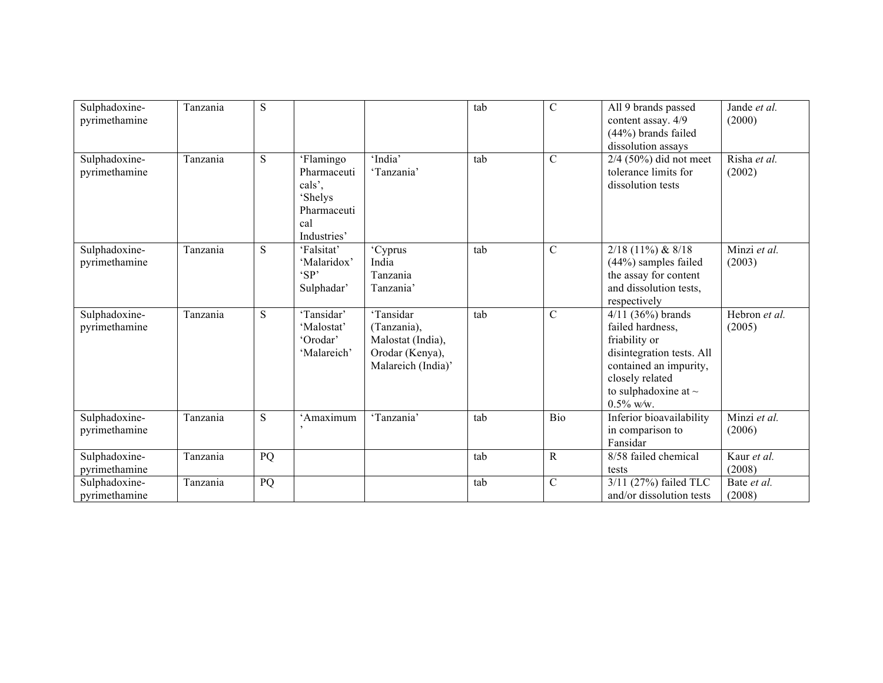| Sulphadoxine-<br>pyrimethamine | Tanzania | S  |                                                                                    |                                                                                        | tab | $\mathcal{C}$ | All 9 brands passed<br>content assay. 4/9<br>(44%) brands failed<br>dissolution assays                                                                                          | Jande et al.<br>(2000)  |
|--------------------------------|----------|----|------------------------------------------------------------------------------------|----------------------------------------------------------------------------------------|-----|---------------|---------------------------------------------------------------------------------------------------------------------------------------------------------------------------------|-------------------------|
| Sulphadoxine-<br>pyrimethamine | Tanzania | S  | 'Flamingo<br>Pharmaceuti<br>cals',<br>'Shelys<br>Pharmaceuti<br>cal<br>Industries' | 'India'<br>'Tanzania'                                                                  | tab | $\mathcal{C}$ | $2/4$ (50%) did not meet<br>tolerance limits for<br>dissolution tests                                                                                                           | Risha et al.<br>(2002)  |
| Sulphadoxine-<br>pyrimethamine | Tanzania | S  | 'Falsitat'<br>'Malaridox'<br>'SP'<br>Sulphadar'                                    | 'Cyprus<br>India<br>Tanzania<br>Tanzania'                                              | tab | $\mathcal{C}$ | $2/18$ (11%) & 8/18<br>$(44\%)$ samples failed<br>the assay for content<br>and dissolution tests,<br>respectively                                                               | Minzi et al.<br>(2003)  |
| Sulphadoxine-<br>pyrimethamine | Tanzania | S  | 'Tansidar'<br>'Malostat'<br>'Orodar'<br>'Malareich'                                | 'Tansidar<br>(Tanzania),<br>Malostat (India),<br>Orodar (Kenya),<br>Malareich (India)' | tab | $\mathcal{C}$ | $4/11$ (36%) brands<br>failed hardness,<br>friability or<br>disintegration tests. All<br>contained an impurity,<br>closely related<br>to sulphadoxine at $\sim$<br>$0.5\%$ w/w. | Hebron et al.<br>(2005) |
| Sulphadoxine-<br>pyrimethamine | Tanzania | S  | 'Amaximum                                                                          | 'Tanzania'                                                                             | tab | Bio           | Inferior bioavailability<br>in comparison to<br>Fansidar                                                                                                                        | Minzi et al.<br>(2006)  |
| Sulphadoxine-<br>pyrimethamine | Tanzania | PQ |                                                                                    |                                                                                        | tab | $\mathbf R$   | 8/58 failed chemical<br>tests                                                                                                                                                   | Kaur et al.<br>(2008)   |
| Sulphadoxine-<br>pyrimethamine | Tanzania | PQ |                                                                                    |                                                                                        | tab | $\mathsf{C}$  | 3/11 (27%) failed TLC<br>and/or dissolution tests                                                                                                                               | Bate et al.<br>(2008)   |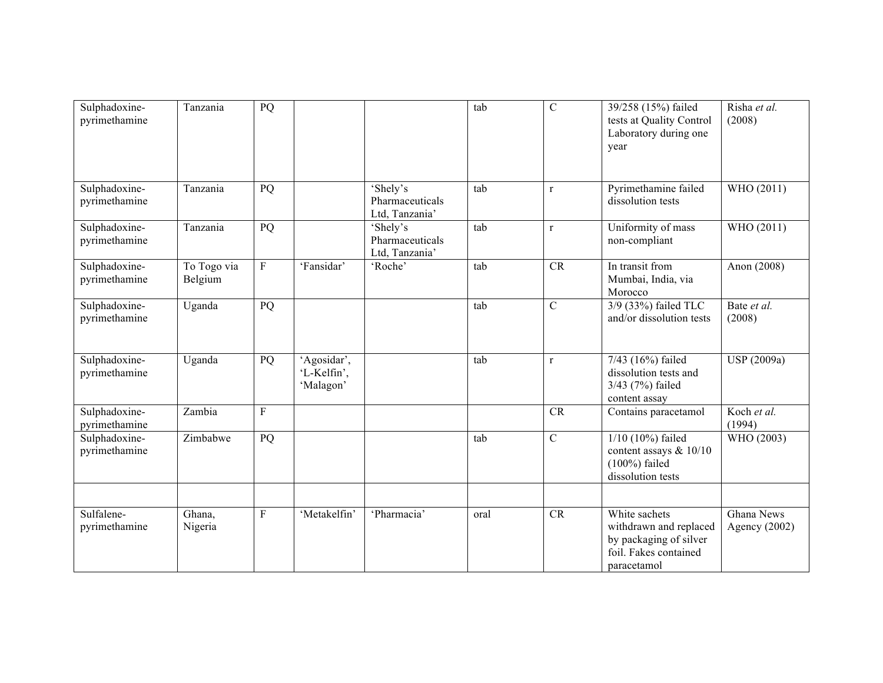| Sulphadoxine-<br>pyrimethamine | Tanzania               | PQ           |                                         |                                               | tab  | $\mathcal{C}$ | 39/258 (15%) failed<br>tests at Quality Control<br>Laboratory during one<br>year                          | Risha et al.<br>(2008)        |
|--------------------------------|------------------------|--------------|-----------------------------------------|-----------------------------------------------|------|---------------|-----------------------------------------------------------------------------------------------------------|-------------------------------|
| Sulphadoxine-<br>pyrimethamine | Tanzania               | PQ           |                                         | 'Shely's<br>Pharmaceuticals<br>Ltd, Tanzania' | tab  | $\mathbf{r}$  | Pyrimethamine failed<br>dissolution tests                                                                 | WHO (2011)                    |
| Sulphadoxine-<br>pyrimethamine | Tanzania               | PQ           |                                         | 'Shely's<br>Pharmaceuticals<br>Ltd, Tanzania' | tab  | $\mathbf{r}$  | Uniformity of mass<br>non-compliant                                                                       | WHO (2011)                    |
| Sulphadoxine-<br>pyrimethamine | To Togo via<br>Belgium | $\rm F$      | 'Fansidar'                              | 'Roche'                                       | tab  | CR            | In transit from<br>Mumbai, India, via<br>Morocco                                                          | Anon (2008)                   |
| Sulphadoxine-<br>pyrimethamine | Uganda                 | PQ           |                                         |                                               | tab  | $\mathcal{C}$ | 3/9 (33%) failed TLC<br>and/or dissolution tests                                                          | Bate et al.<br>(2008)         |
| Sulphadoxine-<br>pyrimethamine | Uganda                 | PQ           | 'Agosidar',<br>'L-Kelfin',<br>'Malagon' |                                               | tab  | $\mathbf{r}$  | 7/43 (16%) failed<br>dissolution tests and<br>3/43 (7%) failed<br>content assay                           | USP (2009a)                   |
| Sulphadoxine-<br>pyrimethamine | Zambia                 | $\mathbf{F}$ |                                         |                                               |      | CR            | Contains paracetamol                                                                                      | Koch et al.<br>(1994)         |
| Sulphadoxine-<br>pyrimethamine | Zimbabwe               | PQ           |                                         |                                               | tab  | $\mathcal{C}$ | $1/10$ (10%) failed<br>content assays $& 10/10$<br>$(100\%)$ failed<br>dissolution tests                  | WHO (2003)                    |
|                                |                        |              |                                         |                                               |      |               |                                                                                                           |                               |
| Sulfalene-<br>pyrimethamine    | Ghana,<br>Nigeria      | $\mathbf{F}$ | 'Metakelfin'                            | 'Pharmacia'                                   | oral | CR            | White sachets<br>withdrawn and replaced<br>by packaging of silver<br>foil. Fakes contained<br>paracetamol | Ghana News<br>Agency $(2002)$ |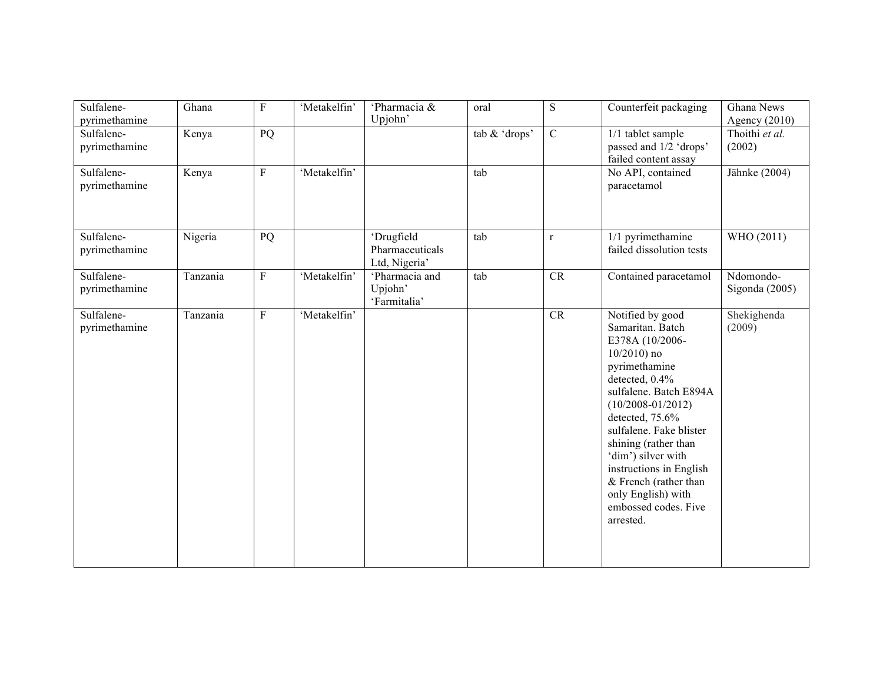| Sulfalene-<br>pyrimethamine | Ghana    | $\mathbf{F}$   | 'Metakelfin' | 'Pharmacia &<br>Upjohn'                        | oral          | ${\bf S}$      | Counterfeit packaging                                                                                                                                                                                                                                                                                                                                                      | Ghana News<br>Agency $(2010)$ |
|-----------------------------|----------|----------------|--------------|------------------------------------------------|---------------|----------------|----------------------------------------------------------------------------------------------------------------------------------------------------------------------------------------------------------------------------------------------------------------------------------------------------------------------------------------------------------------------------|-------------------------------|
| Sulfalene-<br>pyrimethamine | Kenya    | PQ             |              |                                                | tab & 'drops' | $\overline{C}$ | 1/1 tablet sample<br>passed and 1/2 'drops'<br>failed content assay                                                                                                                                                                                                                                                                                                        | Thoithi et al.<br>(2002)      |
| Sulfalene-<br>pyrimethamine | Kenya    | $\overline{F}$ | 'Metakelfin' |                                                | tab           |                | No API, contained<br>paracetamol                                                                                                                                                                                                                                                                                                                                           | Jähnke (2004)                 |
| Sulfalene-<br>pyrimethamine | Nigeria  | PQ             |              | 'Drugfield<br>Pharmaceuticals<br>Ltd, Nigeria' | tab           | $\mathbf{r}$   | 1/1 pyrimethamine<br>failed dissolution tests                                                                                                                                                                                                                                                                                                                              | WHO (2011)                    |
| Sulfalene-<br>pyrimethamine | Tanzania | $\rm F$        | 'Metakelfin' | 'Pharmacia and<br>Upjohn'<br>'Farmitalia'      | tab           | <b>CR</b>      | Contained paracetamol                                                                                                                                                                                                                                                                                                                                                      | Ndomondo-<br>Sigonda $(2005)$ |
| Sulfalene-<br>pyrimethamine | Tanzania | ${\bf F}$      | 'Metakelfin' |                                                |               | <b>CR</b>      | Notified by good<br>Samaritan. Batch<br>E378A (10/2006-<br>$10/2010$ ) no<br>pyrimethamine<br>detected, 0.4%<br>sulfalene. Batch E894A<br>$(10/2008 - 01/2012)$<br>detected, 75.6%<br>sulfalene. Fake blister<br>shining (rather than<br>'dim') silver with<br>instructions in English<br>& French (rather than<br>only English) with<br>embossed codes. Five<br>arrested. | Shekighenda<br>(2009)         |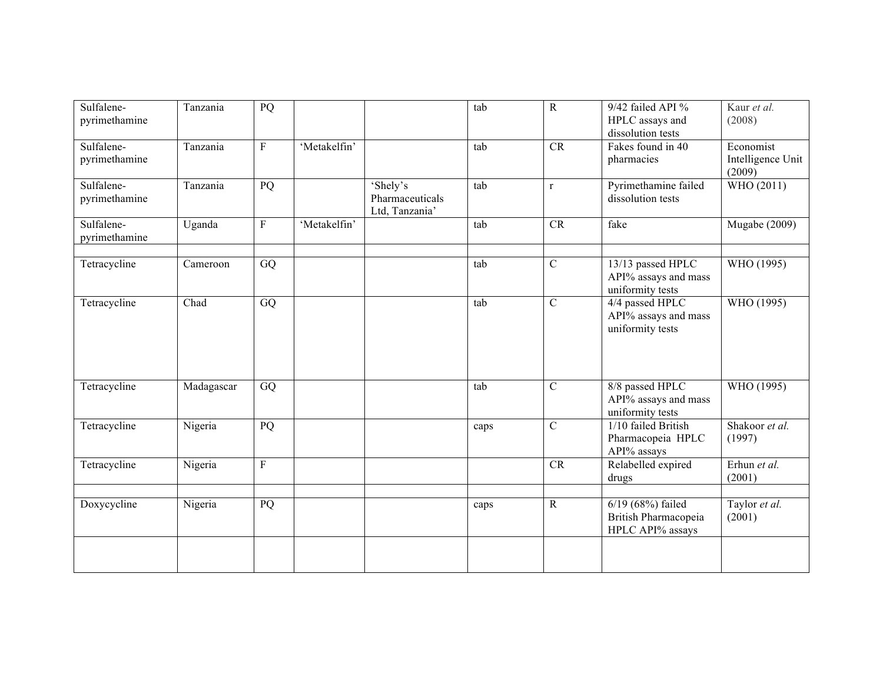| Sulfalene-<br>pyrimethamine | Tanzania   | PQ      |              |                                               | tab  | ${\bf R}$      | 9/42 failed API %<br>HPLC assays and<br>dissolution tests     | Kaur et al.<br>(2008)                    |
|-----------------------------|------------|---------|--------------|-----------------------------------------------|------|----------------|---------------------------------------------------------------|------------------------------------------|
| Sulfalene-<br>pyrimethamine | Tanzania   | $\rm F$ | 'Metakelfin' |                                               | tab  | <b>CR</b>      | Fakes found in 40<br>pharmacies                               | Economist<br>Intelligence Unit<br>(2009) |
| Sulfalene-<br>pyrimethamine | Tanzania   | PQ      |              | 'Shely's<br>Pharmaceuticals<br>Ltd, Tanzania' | tab  | $\mathbf r$    | Pyrimethamine failed<br>dissolution tests                     | WHO (2011)                               |
| Sulfalene-<br>pyrimethamine | Uganda     | $\rm F$ | 'Metakelfin' |                                               | tab  | CR             | fake                                                          | <b>Mugabe</b> (2009)                     |
| Tetracycline                | Cameroon   | GQ      |              |                                               | tab  | $\overline{C}$ | 13/13 passed HPLC<br>API% assays and mass<br>uniformity tests | WHO (1995)                               |
| Tetracycline                | Chad       | GQ      |              |                                               | tab  | $\overline{C}$ | 4/4 passed HPLC<br>API% assays and mass<br>uniformity tests   | WHO (1995)                               |
| Tetracycline                | Madagascar | GQ      |              |                                               | tab  | $\mathcal{C}$  | 8/8 passed HPLC<br>API% assays and mass<br>uniformity tests   | WHO (1995)                               |
| Tetracycline                | Nigeria    | PQ      |              |                                               | caps | $\overline{C}$ | 1/10 failed British<br>Pharmacopeia HPLC<br>API% assays       | Shakoor et al.<br>(1997)                 |
| Tetracycline                | Nigeria    | $\rm F$ |              |                                               |      | CR             | Relabelled expired<br>drugs                                   | Erhun et al.<br>(2001)                   |
| Doxycycline                 | Nigeria    | PQ      |              |                                               | caps | ${\bf R}$      | 6/19 (68%) failed<br>British Pharmacopeia<br>HPLC API% assays | Taylor et al.<br>(2001)                  |
|                             |            |         |              |                                               |      |                |                                                               |                                          |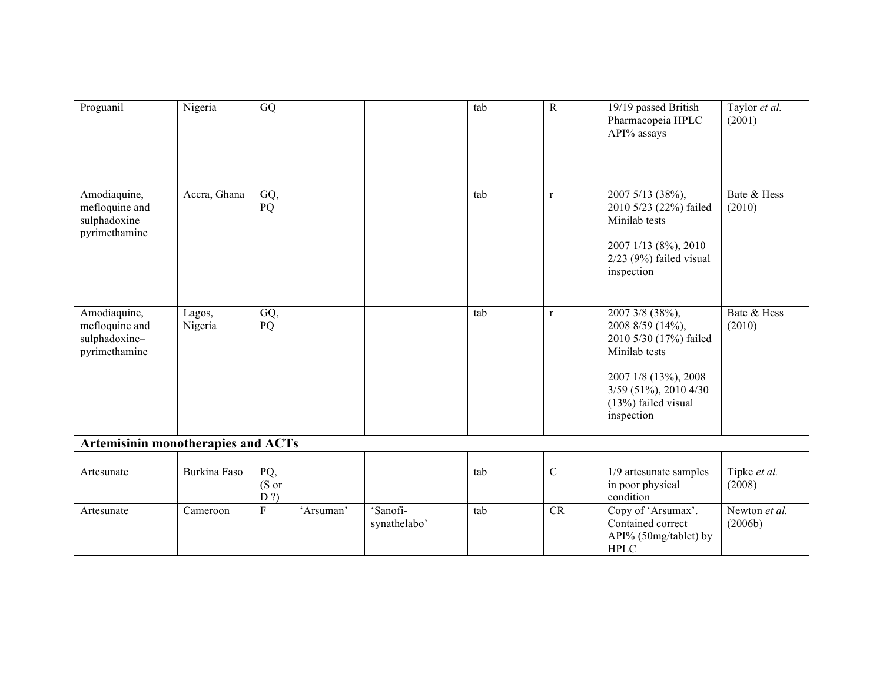| Proguanil                                                        | Nigeria           | GQ                    |           |                          | tab | $\mathbf R$  | 19/19 passed British<br>Pharmacopeia HPLC<br>API% assays                            | Taylor et al.<br>(2001)  |
|------------------------------------------------------------------|-------------------|-----------------------|-----------|--------------------------|-----|--------------|-------------------------------------------------------------------------------------|--------------------------|
|                                                                  |                   |                       |           |                          |     |              |                                                                                     |                          |
| Amodiaquine,<br>mefloquine and<br>sulphadoxine-<br>pyrimethamine | Accra, Ghana      | GQ,<br>PQ             |           |                          | tab | $\mathbf{r}$ | 2007 5/13 (38%),<br>2010 5/23 (22%) failed<br>Minilab tests<br>2007 1/13 (8%), 2010 | Bate & Hess<br>(2010)    |
|                                                                  |                   |                       |           |                          |     |              | $2/23$ (9%) failed visual<br>inspection                                             |                          |
| Amodiaquine,<br>mefloquine and<br>sulphadoxine-<br>pyrimethamine | Lagos,<br>Nigeria | GQ,<br>PQ             |           |                          | tab | $\mathbf{r}$ | 2007 3/8 (38%),<br>2008 8/59 (14%),<br>2010 5/30 (17%) failed<br>Minilab tests      | Bate & Hess<br>(2010)    |
|                                                                  |                   |                       |           |                          |     |              | 2007 1/8 (13%), 2008<br>3/59 (51%), 2010 4/30<br>(13%) failed visual<br>inspection  |                          |
| <b>Artemisinin monotherapies and ACTs</b>                        |                   |                       |           |                          |     |              |                                                                                     |                          |
|                                                                  |                   |                       |           |                          |     |              |                                                                                     |                          |
| Artesunate                                                       | Burkina Faso      | PQ,<br>(S or<br>$D$ ? |           |                          | tab | $\mathbf C$  | 1/9 artesunate samples<br>in poor physical<br>condition                             | Tipke et al.<br>(2008)   |
| Artesunate                                                       | Cameroon          | $\overline{F}$        | 'Arsuman' | 'Sanofi-<br>synathelabo' | tab | CR           | Copy of 'Arsumax'.<br>Contained correct<br>API% (50mg/tablet) by<br><b>HPLC</b>     | Newton et al.<br>(2006b) |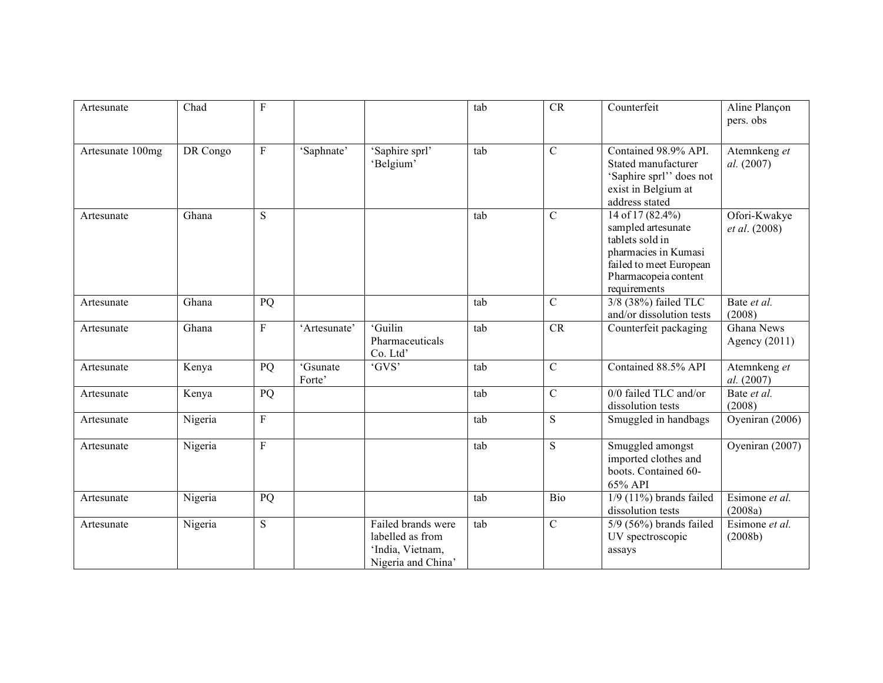| Artesunate       | Chad     | F              |                   |                                                                                  | tab | <b>CR</b>      | Counterfeit                                                                                                                                          | Aline Plançon<br>pers. obs    |
|------------------|----------|----------------|-------------------|----------------------------------------------------------------------------------|-----|----------------|------------------------------------------------------------------------------------------------------------------------------------------------------|-------------------------------|
| Artesunate 100mg | DR Congo | $\mathbf{F}$   | 'Saphnate'        | 'Saphire sprl'<br>'Belgium'                                                      | tab | $\mathcal{C}$  | Contained 98.9% API.<br>Stated manufacturer<br>'Saphire sprl'' does not<br>exist in Belgium at<br>address stated                                     | Atemnkeng et<br>al. (2007)    |
| Artesunate       | Ghana    | ${\bf S}$      |                   |                                                                                  | tab | $\mathcal{C}$  | 14 of 17 (82.4%)<br>sampled artesunate<br>tablets sold in<br>pharmacies in Kumasi<br>failed to meet European<br>Pharmacopeia content<br>requirements | Ofori-Kwakye<br>et al. (2008) |
| Artesunate       | Ghana    | PQ             |                   |                                                                                  | tab | $\mathcal{C}$  | 3/8 (38%) failed TLC<br>and/or dissolution tests                                                                                                     | Bate et al.<br>(2008)         |
| Artesunate       | Ghana    | $\mathbf{F}$   | 'Artesunate'      | 'Guilin<br>Pharmaceuticals<br>Co. Ltd'                                           | tab | CR             | Counterfeit packaging                                                                                                                                | Ghana News<br>Agency $(2011)$ |
| Artesunate       | Kenya    | PQ             | Gsunate<br>Forte' | 'GVS'                                                                            | tab | $\overline{C}$ | Contained 88.5% API                                                                                                                                  | Atemnkeng et<br>al. (2007)    |
| Artesunate       | Kenya    | PQ             |                   |                                                                                  | tab | $\overline{C}$ | $0/0$ failed TLC and/or<br>dissolution tests                                                                                                         | Bate et al.<br>(2008)         |
| Artesunate       | Nigeria  | $\overline{F}$ |                   |                                                                                  | tab | S              | Smuggled in handbags                                                                                                                                 | Oyeniran (2006)               |
| Artesunate       | Nigeria  | $\overline{F}$ |                   |                                                                                  | tab | S              | Smuggled amongst<br>imported clothes and<br>boots. Contained 60-<br>65% API                                                                          | Oyeniran (2007)               |
| Artesunate       | Nigeria  | PQ             |                   |                                                                                  | tab | Bio            | $1/9$ (11%) brands failed<br>dissolution tests                                                                                                       | Esimone et al.<br>(2008a)     |
| Artesunate       | Nigeria  | S              |                   | Failed brands were<br>labelled as from<br>'India, Vietnam,<br>Nigeria and China' | tab | $\mathcal{C}$  | $5/9$ (56%) brands failed<br>UV spectroscopic<br>assays                                                                                              | Esimone et al.<br>(2008b)     |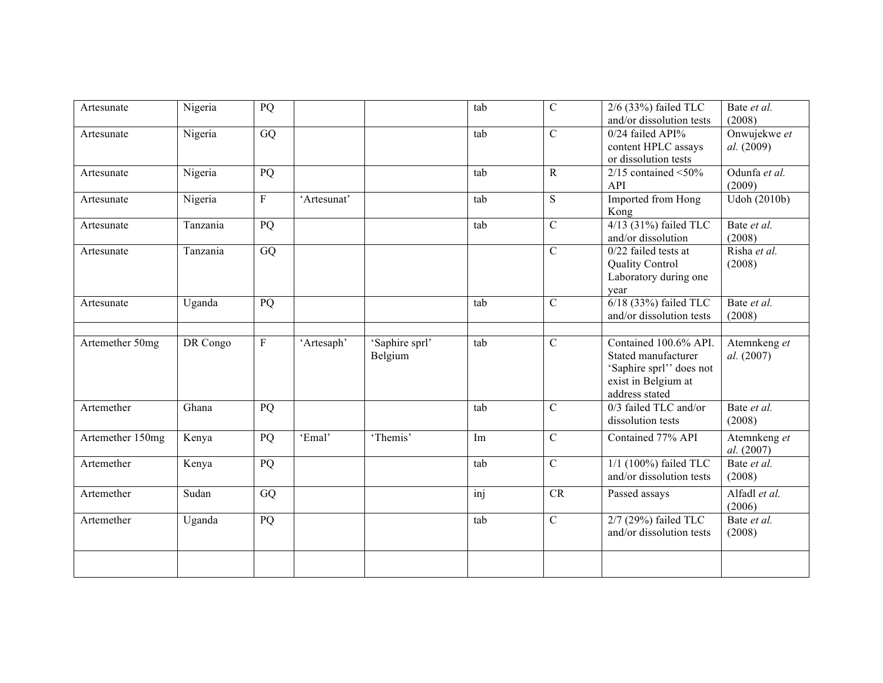| Artesunate       | Nigeria  | PQ              |             |                           | tab | $\mathbf C$    | 2/6 (33%) failed TLC<br>and/or dissolution tests                                                                  | Bate et al.<br>(2008)      |
|------------------|----------|-----------------|-------------|---------------------------|-----|----------------|-------------------------------------------------------------------------------------------------------------------|----------------------------|
| Artesunate       | Nigeria  | $\overline{GQ}$ |             |                           | tab | $\mathcal{C}$  | 0/24 failed API%<br>content HPLC assays<br>or dissolution tests                                                   | Onwujekwe et<br>al. (2009) |
| Artesunate       | Nigeria  | PQ              |             |                           | tab | $\mathbf R$    | $2/15$ contained <50%<br><b>API</b>                                                                               | Odunfa et al.<br>(2009)    |
| Artesunate       | Nigeria  | $\rm F$         | 'Artesunat' |                           | tab | S              | Imported from Hong<br>Kong                                                                                        | Udoh (2010b)               |
| Artesunate       | Tanzania | PQ              |             |                           | tab | $\mathcal{C}$  | $4/13$ (31%) failed TLC<br>and/or dissolution                                                                     | Bate et al.<br>(2008)      |
| Artesunate       | Tanzania | GQ              |             |                           |     | $\mathcal{C}$  | $0/22$ failed tests at<br><b>Quality Control</b><br>Laboratory during one<br>year                                 | Risha et al.<br>(2008)     |
| Artesunate       | Uganda   | PQ              |             |                           | tab | $\overline{C}$ | 6/18 (33%) failed TLC<br>and/or dissolution tests                                                                 | Bate et al.<br>(2008)      |
| Artemether 50mg  | DR Congo | $\rm F$         | 'Artesaph'  | 'Saphire sprl'<br>Belgium | tab | $\mathcal{C}$  | Contained 100.6% API.<br>Stated manufacturer<br>'Saphire sprl'' does not<br>exist in Belgium at<br>address stated | Atemnkeng et<br>al. (2007) |
| Artemether       | Ghana    | PQ              |             |                           | tab | $\mathcal{C}$  | 0/3 failed TLC and/or<br>dissolution tests                                                                        | Bate et al.<br>(2008)      |
| Artemether 150mg | Kenya    | PQ              | 'Emal'      | 'Themis'                  | Im  | $\mathcal{C}$  | Contained 77% API                                                                                                 | Atemnkeng et<br>al. (2007) |
| Artemether       | Kenya    | PQ              |             |                           | tab | $\overline{C}$ | $1/1$ (100%) failed TLC<br>and/or dissolution tests                                                               | Bate et al.<br>(2008)      |
| Artemether       | Sudan    | GQ              |             |                           | inj | <b>CR</b>      | Passed assays                                                                                                     | Alfadl et al.<br>(2006)    |
| Artemether       | Uganda   | PQ              |             |                           | tab | $\overline{C}$ | 2/7 (29%) failed TLC<br>and/or dissolution tests                                                                  | Bate et al.<br>(2008)      |
|                  |          |                 |             |                           |     |                |                                                                                                                   |                            |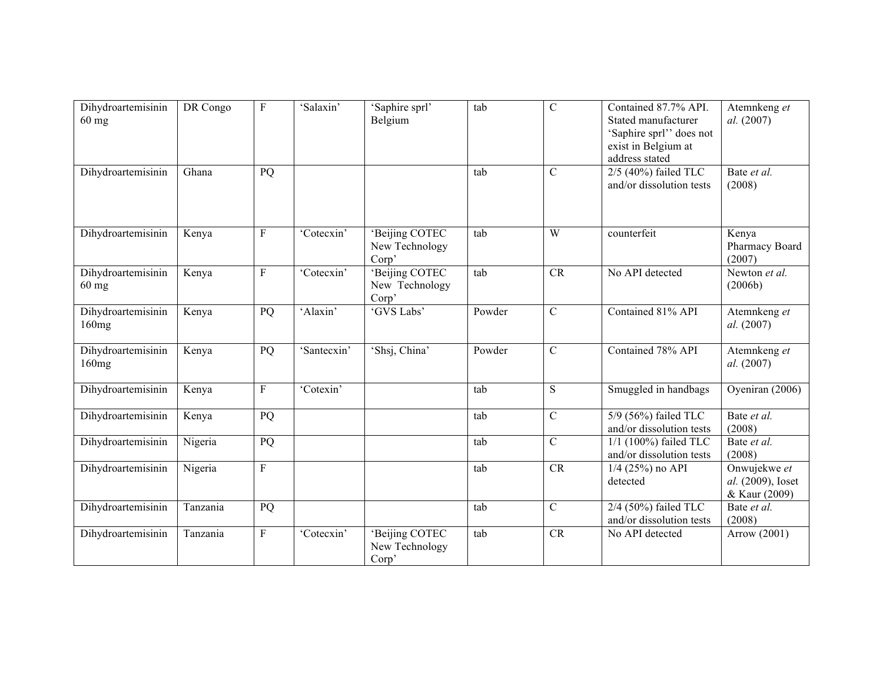| Dihydroartemisinin<br>$60$ mg         | DR Congo | $\mathbf{F}$   | 'Salaxin'   | 'Saphire sprl'<br>Belgium                 | tab    | $\mathcal{C}$  | Contained 87.7% API.<br>Stated manufacturer<br>'Saphire sprl'' does not<br>exist in Belgium at<br>address stated | Atemnkeng et<br>al. (2007)                         |
|---------------------------------------|----------|----------------|-------------|-------------------------------------------|--------|----------------|------------------------------------------------------------------------------------------------------------------|----------------------------------------------------|
| Dihydroartemisinin                    | Ghana    | PQ             |             |                                           | tab    | $\mathcal{C}$  | $2/5$ (40%) failed TLC<br>and/or dissolution tests                                                               | Bate et al.<br>(2008)                              |
| Dihydroartemisinin                    | Kenya    | $\mathbf F$    | 'Cotecxin'  | 'Beijing COTEC<br>New Technology<br>Corp' | tab    | W              | counterfeit                                                                                                      | Kenya<br>Pharmacy Board<br>(2007)                  |
| Dihydroartemisinin<br>$60 \text{ mg}$ | Kenya    | $\overline{F}$ | 'Cotecxin'  | 'Beijing COTEC<br>New Technology<br>Corp' | tab    | CR             | No API detected                                                                                                  | Newton et al.<br>(2006b)                           |
| Dihydroartemisinin<br>160mg           | Kenya    | PQ             | 'Alaxin'    | 'GVS Labs'                                | Powder | $\mathcal{C}$  | Contained 81% API                                                                                                | Atemnkeng et<br>al. (2007)                         |
| Dihydroartemisinin<br>160mg           | Kenya    | PQ             | 'Santecxin' | 'Shsj, China'                             | Powder | $\mathcal{C}$  | Contained 78% API                                                                                                | Atemnkeng et<br>al. (2007)                         |
| Dihydroartemisinin                    | Kenya    | $\rm F$        | 'Cotexin'   |                                           | tab    | S              | Smuggled in handbags                                                                                             | Oyeniran (2006)                                    |
| Dihydroartemisinin                    | Kenya    | PQ             |             |                                           | tab    | $\mathcal{C}$  | 5/9 (56%) failed TLC<br>and/or dissolution tests                                                                 | Bate et al.<br>(2008)                              |
| Dihydroartemisinin                    | Nigeria  | PQ             |             |                                           | tab    | $\overline{C}$ | $1/1$ (100%) failed TLC<br>and/or dissolution tests                                                              | Bate et al.<br>(2008)                              |
| Dihydroartemisinin                    | Nigeria  | ${\bf F}$      |             |                                           | tab    | CR             | $1/4$ (25%) no API<br>detected                                                                                   | Onwujekwe et<br>al. (2009), Ioset<br>& Kaur (2009) |
| Dihydroartemisinin                    | Tanzania | PQ             |             |                                           | tab    | $\mathcal{C}$  | 2/4 (50%) failed TLC<br>and/or dissolution tests                                                                 | Bate et al.<br>(2008)                              |
| Dihydroartemisinin                    | Tanzania | F              | 'Cotecxin'  | 'Beijing COTEC<br>New Technology<br>Corp' | tab    | CR             | No API detected                                                                                                  | Arrow (2001)                                       |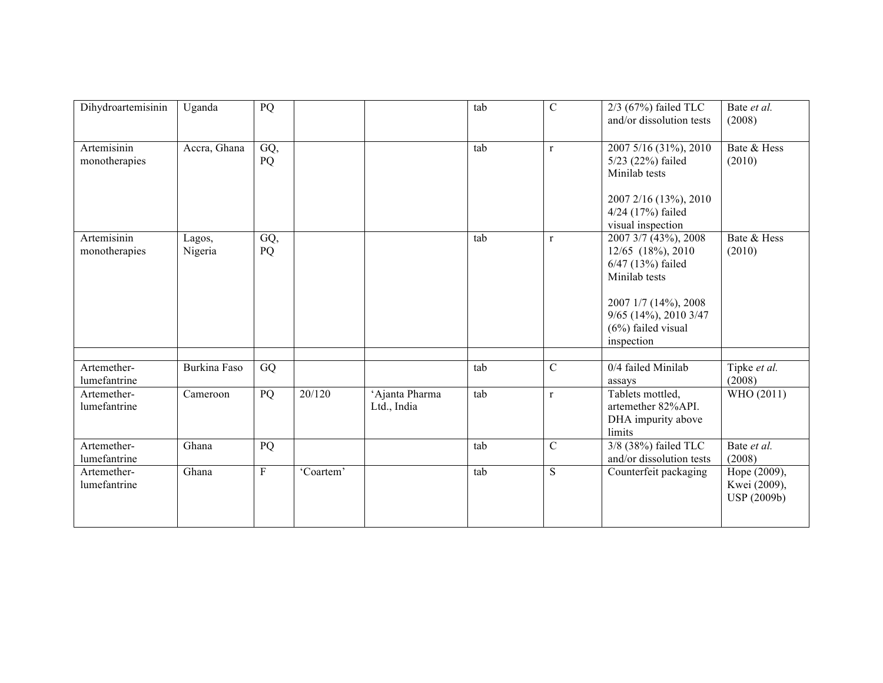| Dihydroartemisinin           | Uganda            | PQ             |           |                               | tab | $\mathcal{C}$ | $2/3$ (67%) failed TLC<br>and/or dissolution tests                                                                                                                       | Bate et al.<br>(2008)                       |
|------------------------------|-------------------|----------------|-----------|-------------------------------|-----|---------------|--------------------------------------------------------------------------------------------------------------------------------------------------------------------------|---------------------------------------------|
| Artemisinin<br>monotherapies | Accra, Ghana      | GQ,<br>PQ      |           |                               | tab | $\mathbf{r}$  | 2007 5/16 (31%), 2010<br>5/23 (22%) failed<br>Minilab tests<br>2007 2/16 (13%), 2010<br>4/24 (17%) failed<br>visual inspection                                           | Bate & Hess<br>(2010)                       |
| Artemisinin<br>monotherapies | Lagos,<br>Nigeria | GQ,<br>PQ      |           |                               | tab | $\mathbf{r}$  | 2007 3/7 (43%), 2008<br>12/65 (18%), 2010<br>6/47 (13%) failed<br>Minilab tests<br>2007 1/7 (14%), 2008<br>$9/65$ (14%), 2010 3/47<br>$(6%)$ failed visual<br>inspection | Bate & Hess<br>(2010)                       |
| Artemether-<br>lumefantrine  | Burkina Faso      | GQ             |           |                               | tab | $\mathcal{C}$ | 0/4 failed Minilab<br>assays                                                                                                                                             | Tipke et al.<br>(2008)                      |
| Artemether-<br>lumefantrine  | Cameroon          | PQ             | 20/120    | 'Ajanta Pharma<br>Ltd., India | tab | $\mathbf{r}$  | Tablets mottled,<br>artemether 82%API.<br>DHA impurity above<br>limits                                                                                                   | WHO (2011)                                  |
| Artemether-<br>lumefantrine  | Ghana             | PQ             |           |                               | tab | $\mathcal{C}$ | 3/8 (38%) failed TLC<br>and/or dissolution tests                                                                                                                         | Bate et al.<br>(2008)                       |
| Artemether-<br>lumefantrine  | Ghana             | $\overline{F}$ | 'Coartem' |                               | tab | S             | Counterfeit packaging                                                                                                                                                    | Hope (2009),<br>Kwei (2009),<br>USP (2009b) |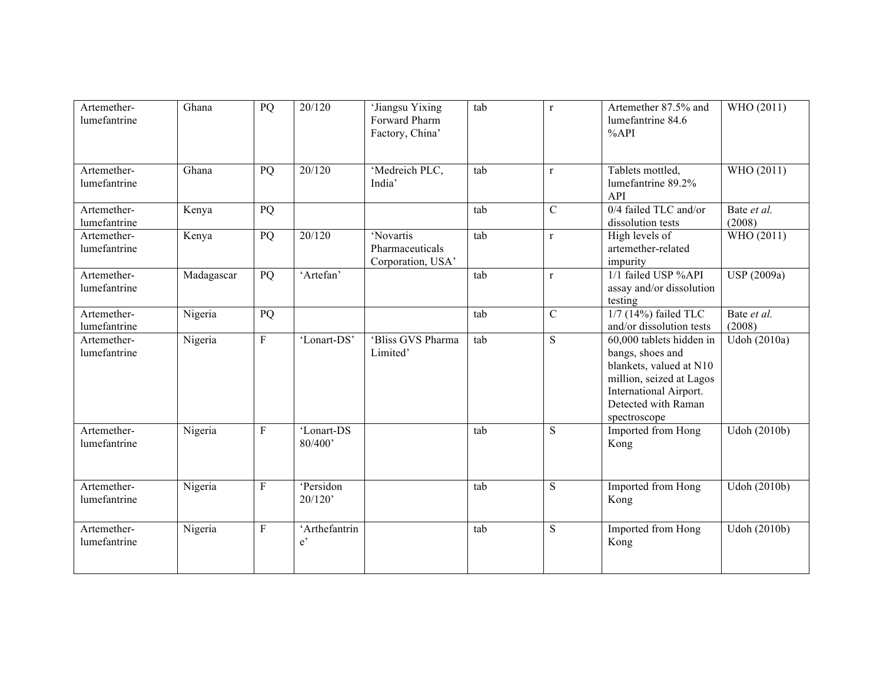| Artemether-<br>lumefantrine | Ghana      | PQ                      | 20/120                        | 'Jiangsu Yixing<br>Forward Pharm<br>Factory, China' | tab | $\mathbf{r}$  | Artemether 87.5% and<br>lumefantrine 84.6<br>%API                                                                                                                    | WHO (2011)            |
|-----------------------------|------------|-------------------------|-------------------------------|-----------------------------------------------------|-----|---------------|----------------------------------------------------------------------------------------------------------------------------------------------------------------------|-----------------------|
| Artemether-<br>lumefantrine | Ghana      | PQ                      | 20/120                        | 'Medreich PLC,<br>India'                            | tab | $\mathbf{r}$  | Tablets mottled,<br>lumefantrine 89.2%<br>API                                                                                                                        | WHO (2011)            |
| Artemether-<br>lumefantrine | Kenya      | PQ                      |                               |                                                     | tab | $\mathcal{C}$ | 0/4 failed TLC and/or<br>dissolution tests                                                                                                                           | Bate et al.<br>(2008) |
| Artemether-<br>lumefantrine | Kenya      | PQ                      | 20/120                        | 'Novartis<br>Pharmaceuticals<br>Corporation, USA'   | tab | $\mathbf{r}$  | High levels of<br>artemether-related<br>impurity                                                                                                                     | WHO (2011)            |
| Artemether-<br>lumefantrine | Madagascar | PQ                      | 'Artefan'                     |                                                     | tab | $\mathbf{r}$  | 1/1 failed USP %API<br>assay and/or dissolution<br>testing                                                                                                           | USP (2009a)           |
| Artemether-<br>lumefantrine | Nigeria    | PQ                      |                               |                                                     | tab | $\mathcal{C}$ | $1/7$ (14%) failed TLC<br>and/or dissolution tests                                                                                                                   | Bate et al.<br>(2008) |
| Artemether-<br>lumefantrine | Nigeria    | $\overline{\mathrm{F}}$ | 'Lonart-DS'                   | 'Bliss GVS Pharma<br>Limited'                       | tab | <sub>S</sub>  | 60,000 tablets hidden in<br>bangs, shoes and<br>blankets, valued at N10<br>million, seized at Lagos<br>International Airport.<br>Detected with Raman<br>spectroscope | Udoh (2010a)          |
| Artemether-<br>lumefantrine | Nigeria    | ${\bf F}$               | 'Lonart-DS<br>80/400'         |                                                     | tab | S             | Imported from Hong<br>Kong                                                                                                                                           | Udoh (2010b)          |
| Artemether-<br>lumefantrine | Nigeria    | $\mathbf{F}$            | 'Persidon<br>20/120'          |                                                     | tab | S             | Imported from Hong<br>Kong                                                                                                                                           | Udoh (2010b)          |
| Artemether-<br>lumefantrine | Nigeria    | $\overline{F}$          | 'Arthefantrin<br>$e^{\prime}$ |                                                     | tab | S             | Imported from Hong<br>Kong                                                                                                                                           | Udoh (2010b)          |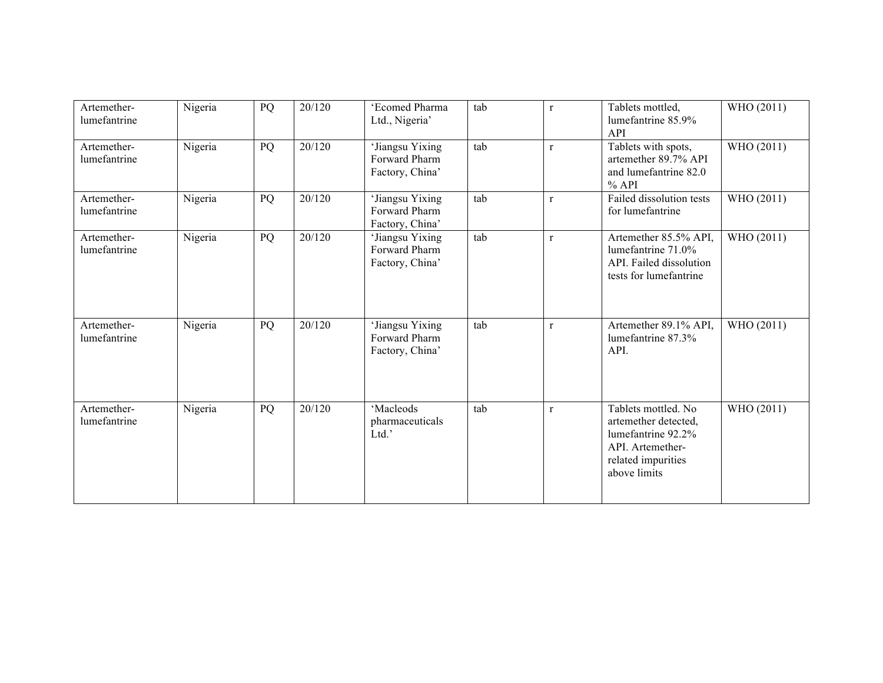| Artemether-<br>lumefantrine | Nigeria | PQ | 20/120 | 'Ecomed Pharma<br>Ltd., Nigeria'                    | tab | $\mathbf{r}$ | Tablets mottled,<br>lumefantrine 85.9%<br>API                                                                               | WHO (2011) |
|-----------------------------|---------|----|--------|-----------------------------------------------------|-----|--------------|-----------------------------------------------------------------------------------------------------------------------------|------------|
| Artemether-<br>lumefantrine | Nigeria | PQ | 20/120 | 'Jiangsu Yixing<br>Forward Pharm<br>Factory, China' | tab | $\mathbf{r}$ | Tablets with spots,<br>artemether 89.7% API<br>and lumefantrine 82.0<br>$%$ API                                             | WHO (2011) |
| Artemether-<br>lumefantrine | Nigeria | PQ | 20/120 | 'Jiangsu Yixing<br>Forward Pharm<br>Factory, China' | tab | $\mathbf{r}$ | Failed dissolution tests<br>for lumefantrine                                                                                | WHO (2011) |
| Artemether-<br>lumefantrine | Nigeria | PQ | 20/120 | 'Jiangsu Yixing<br>Forward Pharm<br>Factory, China' | tab | $\mathbf{r}$ | Artemether 85.5% API,<br>lumefantrine 71.0%<br>API. Failed dissolution<br>tests for lumefantrine                            | WHO (2011) |
| Artemether-<br>lumefantrine | Nigeria | PQ | 20/120 | 'Jiangsu Yixing<br>Forward Pharm<br>Factory, China' | tab | $\mathbf{r}$ | Artemether 89.1% API,<br>lumefantrine 87.3%<br>API.                                                                         | WHO (2011) |
| Artemether-<br>lumefantrine | Nigeria | PQ | 20/120 | 'Macleods<br>pharmaceuticals<br>Ltd.'               | tab | $\mathbf{r}$ | Tablets mottled. No<br>artemether detected,<br>lumefantrine 92.2%<br>API. Artemether-<br>related impurities<br>above limits | WHO (2011) |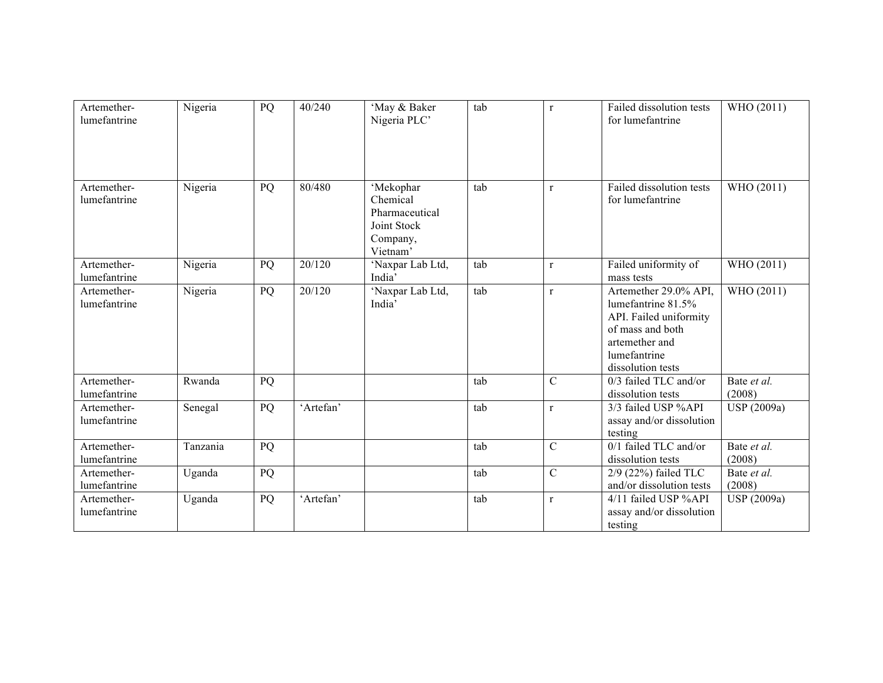| Artemether-<br>lumefantrine | Nigeria  | PQ | 40/240    | 'May & Baker<br>Nigeria PLC'                                                   | tab | $\mathbf{r}$   | Failed dissolution tests<br>for lumefantrine                                                                                                     | WHO (2011)            |
|-----------------------------|----------|----|-----------|--------------------------------------------------------------------------------|-----|----------------|--------------------------------------------------------------------------------------------------------------------------------------------------|-----------------------|
| Artemether-<br>lumefantrine | Nigeria  | PQ | 80/480    | 'Mekophar<br>Chemical<br>Pharmaceutical<br>Joint Stock<br>Company,<br>Vietnam' | tab | $\mathbf{r}$   | Failed dissolution tests<br>for lumefantrine                                                                                                     | WHO (2011)            |
| Artemether-<br>lumefantrine | Nigeria  | PQ | 20/120    | 'Naxpar Lab Ltd,<br>India'                                                     | tab | $\mathbf{r}$   | Failed uniformity of<br>mass tests                                                                                                               | WHO (2011)            |
| Artemether-<br>lumefantrine | Nigeria  | PQ | 20/120    | 'Naxpar Lab Ltd,<br>India'                                                     | tab | $\mathbf{r}$   | Artemether 29.0% API,<br>lumefantrine 81.5%<br>API. Failed uniformity<br>of mass and both<br>artemether and<br>lumefantrine<br>dissolution tests | WHO (2011)            |
| Artemether-<br>lumefantrine | Rwanda   | PQ |           |                                                                                | tab | $\mathbf C$    | 0/3 failed TLC and/or<br>dissolution tests                                                                                                       | Bate et al.<br>(2008) |
| Artemether-<br>lumefantrine | Senegal  | PQ | 'Artefan' |                                                                                | tab | $\mathbf{r}$   | 3/3 failed USP %API<br>assay and/or dissolution<br>testing                                                                                       | USP (2009a)           |
| Artemether-<br>lumefantrine | Tanzania | PQ |           |                                                                                | tab | $\mathbf C$    | 0/1 failed TLC and/or<br>dissolution tests                                                                                                       | Bate et al.<br>(2008) |
| Artemether-<br>lumefantrine | Uganda   | PQ |           |                                                                                | tab | $\overline{C}$ | $2/9$ (22%) failed TLC<br>and/or dissolution tests                                                                                               | Bate et al.<br>(2008) |
| Artemether-<br>lumefantrine | Uganda   | PQ | 'Artefan' |                                                                                | tab | $\mathbf{r}$   | 4/11 failed USP %API<br>assay and/or dissolution<br>testing                                                                                      | USP (2009a)           |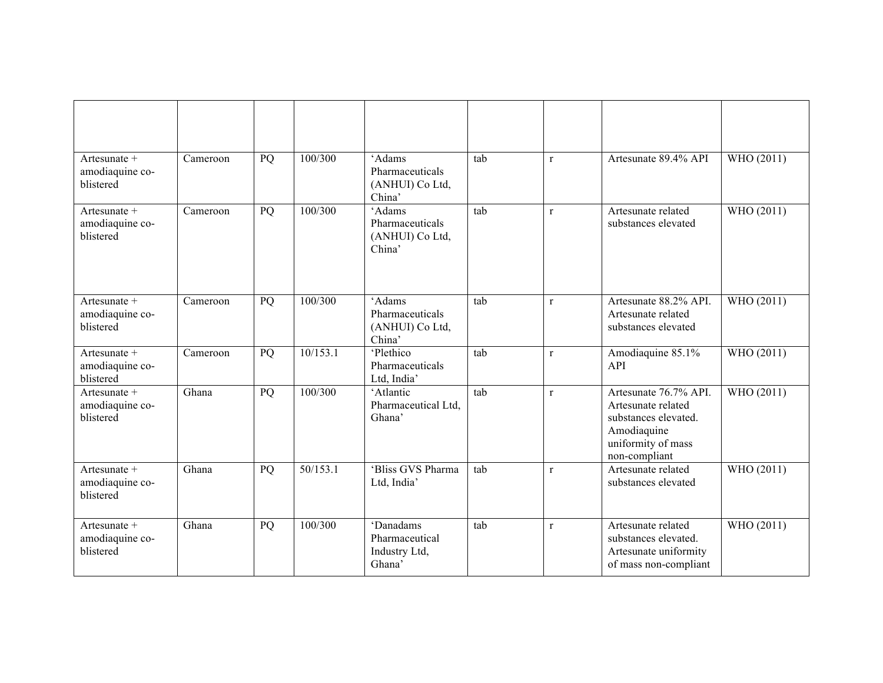| Artesunate +<br>amodiaquine co-<br>blistered   | Cameroon | PQ | 100/300  | 'Adams<br>Pharmaceuticals<br>(ANHUI) Co Ltd,<br>China' | tab | $\mathbf{r}$ | Artesunate 89.4% API                                                                                                      | WHO (2011) |
|------------------------------------------------|----------|----|----------|--------------------------------------------------------|-----|--------------|---------------------------------------------------------------------------------------------------------------------------|------------|
| Artesunate $+$<br>amodiaquine co-<br>blistered | Cameroon | PQ | 100/300  | 'Adams<br>Pharmaceuticals<br>(ANHUI) Co Ltd,<br>China' | tab | $\mathbf{r}$ | Artesunate related<br>substances elevated                                                                                 | WHO (2011) |
| Artesunate +<br>amodiaquine co-<br>blistered   | Cameroon | PQ | 100/300  | 'Adams<br>Pharmaceuticals<br>(ANHUI) Co Ltd,<br>China' | tab | $\mathbf{r}$ | Artesunate 88.2% API.<br>Artesunate related<br>substances elevated                                                        | WHO (2011) |
| Artesunate +<br>amodiaquine co-<br>blistered   | Cameroon | PQ | 10/153.1 | 'Plethico<br>Pharmaceuticals<br>Ltd, India'            | tab | $\mathbf{r}$ | Amodiaquine 85.1%<br>API                                                                                                  | WHO (2011) |
| Artesunate +<br>amodiaquine co-<br>blistered   | Ghana    | PQ | 100/300  | 'Atlantic<br>Pharmaceutical Ltd.<br>Ghana'             | tab | $\mathbf{r}$ | Artesunate 76.7% API.<br>Artesunate related<br>substances elevated.<br>Amodiaquine<br>uniformity of mass<br>non-compliant | WHO (2011) |
| Artesunate +<br>amodiaquine co-<br>blistered   | Ghana    | PQ | 50/153.1 | 'Bliss GVS Pharma<br>Ltd, India'                       | tab | $\mathbf{r}$ | Artesunate related<br>substances elevated                                                                                 | WHO (2011) |
| Artesunate +<br>amodiaquine co-<br>blistered   | Ghana    | PQ | 100/300  | 'Danadams<br>Pharmaceutical<br>Industry Ltd,<br>Ghana' | tab | $\mathbf{r}$ | Artesunate related<br>substances elevated.<br>Artesunate uniformity<br>of mass non-compliant                              | WHO (2011) |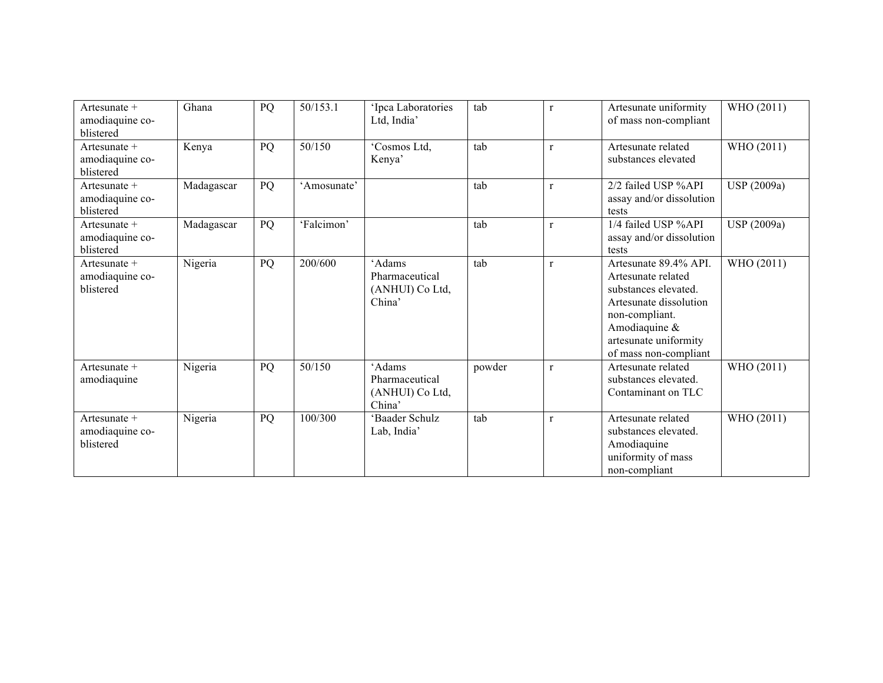| Artesunate $+$<br>amodiaquine co-<br>blistered | Ghana      | PQ | 50/153.1    | 'Ipca Laboratories<br>Ltd, India'                     | tab    | $\mathbf{r}$ | Artesunate uniformity<br>of mass non-compliant                                                                                                                                        | WHO (2011)  |
|------------------------------------------------|------------|----|-------------|-------------------------------------------------------|--------|--------------|---------------------------------------------------------------------------------------------------------------------------------------------------------------------------------------|-------------|
| Artesunate +<br>amodiaquine co-<br>blistered   | Kenya      | PQ | 50/150      | 'Cosmos Ltd,<br>Kenya'                                | tab    | $\mathbf{r}$ | Artesunate related<br>substances elevated                                                                                                                                             | WHO (2011)  |
| Artesunate +<br>amodiaquine co-<br>blistered   | Madagascar | PQ | 'Amosunate' |                                                       | tab    | $\mathbf{r}$ | 2/2 failed USP %API<br>assay and/or dissolution<br>tests                                                                                                                              | USP (2009a) |
| Artesunate $+$<br>amodiaquine co-<br>blistered | Madagascar | PQ | 'Falcimon'  |                                                       | tab    | $\mathbf{r}$ | 1/4 failed USP %API<br>assay and/or dissolution<br>tests                                                                                                                              | USP (2009a) |
| Artesunate $+$<br>amodiaquine co-<br>blistered | Nigeria    | PQ | 200/600     | 'Adams<br>Pharmaceutical<br>(ANHUI) Co Ltd,<br>China' | tab    | $\mathbf{r}$ | Artesunate 89.4% API.<br>Artesunate related<br>substances elevated.<br>Artesunate dissolution<br>non-compliant.<br>Amodiaquine $\&$<br>artesunate uniformity<br>of mass non-compliant | WHO (2011)  |
| Artesunate +<br>amodiaquine                    | Nigeria    | PQ | 50/150      | 'Adams<br>Pharmaceutical<br>(ANHUI) Co Ltd,<br>China' | powder | $\mathbf{r}$ | Artesunate related<br>substances elevated.<br>Contaminant on TLC                                                                                                                      | WHO (2011)  |
| Artesunate $+$<br>amodiaquine co-<br>blistered | Nigeria    | PQ | 100/300     | 'Baader Schulz<br>Lab, India                          | tab    | $\mathbf{r}$ | Artesunate related<br>substances elevated.<br>Amodiaquine<br>uniformity of mass<br>non-compliant                                                                                      | WHO (2011)  |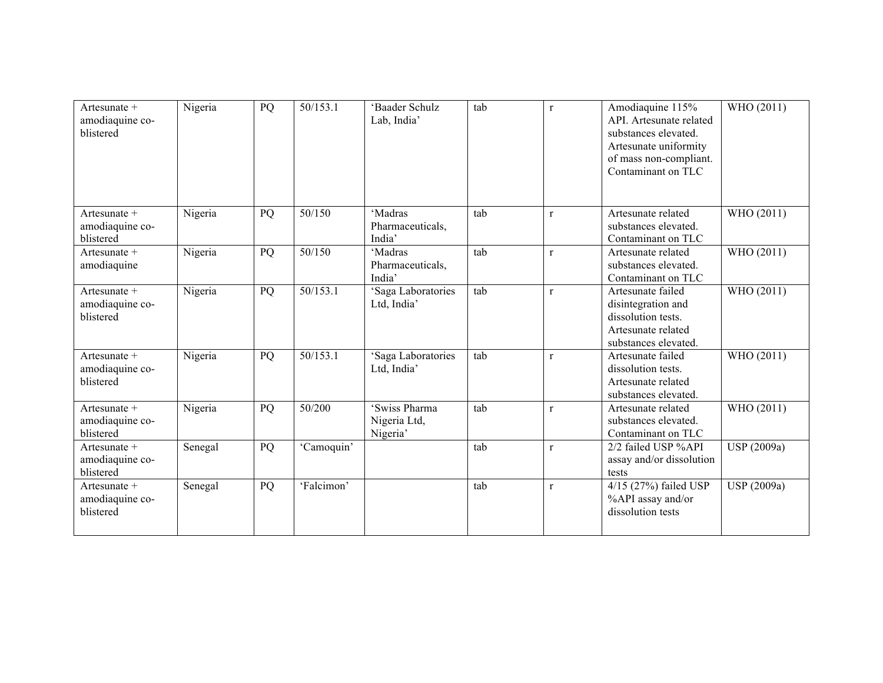| Artesunate $+$<br>amodiaquine co-<br>blistered | Nigeria | PQ | 50/153.1   | 'Baader Schulz<br>Lab, India'             | tab | $\mathbf{r}$ | Amodiaquine 115%<br>API. Artesunate related<br>substances elevated.<br>Artesunate uniformity<br>of mass non-compliant.<br>Contaminant on TLC | WHO (2011)  |
|------------------------------------------------|---------|----|------------|-------------------------------------------|-----|--------------|----------------------------------------------------------------------------------------------------------------------------------------------|-------------|
| Artesunate $+$<br>amodiaquine co-<br>blistered | Nigeria | PQ | 50/150     | 'Madras<br>Pharmaceuticals,<br>India'     | tab | $\mathbf{r}$ | Artesunate related<br>substances elevated.<br>Contaminant on TLC                                                                             | WHO (2011)  |
| Artesunate $+$<br>amodiaquine                  | Nigeria | PQ | 50/150     | 'Madras<br>Pharmaceuticals,<br>India'     | tab | $\mathbf{r}$ | Artesunate related<br>substances elevated.<br>Contaminant on TLC                                                                             | WHO (2011)  |
| Artesunate $+$<br>amodiaquine co-<br>blistered | Nigeria | PQ | 50/153.1   | 'Saga Laboratories<br>Ltd, India'         | tab | $\mathbf{r}$ | Artesunate failed<br>disintegration and<br>dissolution tests.<br>Artesunate related<br>substances elevated.                                  | WHO (2011)  |
| Artesunate +<br>amodiaquine co-<br>blistered   | Nigeria | PQ | 50/153.1   | 'Saga Laboratories<br>Ltd, India'         | tab | $\mathbf{r}$ | Artesunate failed<br>dissolution tests.<br>Artesunate related<br>substances elevated.                                                        | WHO (2011)  |
| Artesunate +<br>amodiaquine co-<br>blistered   | Nigeria | PQ | 50/200     | 'Swiss Pharma<br>Nigeria Ltd,<br>Nigeria' | tab | $\mathbf{r}$ | Artesunate related<br>substances elevated.<br>Contaminant on TLC                                                                             | WHO (2011)  |
| Artesunate $+$<br>amodiaquine co-<br>blistered | Senegal | PQ | 'Camoquin' |                                           | tab | $\mathbf{r}$ | 2/2 failed USP %API<br>assay and/or dissolution<br>tests                                                                                     | USP (2009a) |
| Artesunate +<br>amodiaquine co-<br>blistered   | Senegal | PQ | 'Falcimon' |                                           | tab | $\mathbf{r}$ | 4/15 (27%) failed USP<br>%API assay and/or<br>dissolution tests                                                                              | USP (2009a) |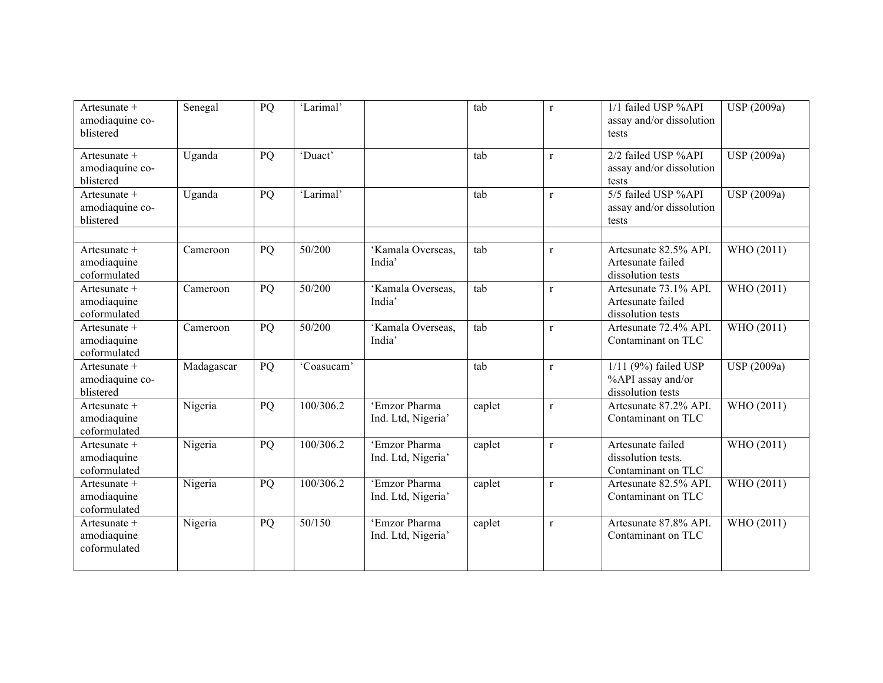| Artesunate +<br>amodiaquine co-<br>blistered  | Senegal    | PQ | 'Larimal'  |                                     | tab    | $\mathbf{r}$ | 1/1 failed USP %API<br>assay and/or dissolution<br>tests         | USP (2009a)        |
|-----------------------------------------------|------------|----|------------|-------------------------------------|--------|--------------|------------------------------------------------------------------|--------------------|
| Artesunate +<br>amodiaquine co-<br>blistered  | Uganda     | PQ | 'Duact'    |                                     | tab    | $\mathbf{r}$ | 2/2 failed USP %API<br>assay and/or dissolution<br>tests         | USP (2009a)        |
| Artesunate +<br>amodiaquine co-<br>blistered  | Uganda     | PQ | 'Larimal'  |                                     | tab    | $\mathbf{r}$ | 5/5 failed USP %API<br>assay and/or dissolution<br>tests         | USP (2009a)        |
| Artesunate $+$<br>amodiaquine<br>coformulated | Cameroon   | PQ | 50/200     | 'Kamala Overseas,<br>India'         | tab    | $\mathbf{r}$ | Artesunate 82.5% API.<br>Artesunate failed<br>dissolution tests  | WHO (2011)         |
| Artesunate +<br>amodiaquine<br>coformulated   | Cameroon   | PQ | 50/200     | 'Kamala Overseas,<br>India'         | tab    | $\mathbf{r}$ | Artesunate 73.1% API.<br>Artesunate failed<br>dissolution tests  | WHO (2011)         |
| Artesunate +<br>amodiaquine<br>coformulated   | Cameroon   | PQ | 50/200     | 'Kamala Overseas,<br>India'         | tab    | $\mathbf r$  | Artesunate 72.4% API.<br>Contaminant on TLC                      | WHO (2011)         |
| Artesunate +<br>amodiaquine co-<br>blistered  | Madagascar | PQ | 'Coasucam' |                                     | tab    | $\mathbf r$  | $1/11$ (9%) failed USP<br>%API assay and/or<br>dissolution tests | <b>USP</b> (2009a) |
| Artesunate +<br>amodiaquine<br>coformulated   | Nigeria    | PQ | 100/306.2  | 'Emzor Pharma<br>Ind. Ltd, Nigeria' | caplet | $\mathbf{r}$ | Artesunate 87.2% API.<br>Contaminant on TLC                      | WHO (2011)         |
| Artesunate +<br>amodiaquine<br>coformulated   | Nigeria    | PQ | 100/306.2  | 'Emzor Pharma<br>Ind. Ltd, Nigeria' | caplet | $\mathbf r$  | Artesunate failed<br>dissolution tests.<br>Contaminant on TLC    | WHO (2011)         |
| Artesunate +<br>amodiaquine<br>coformulated   | Nigeria    | PQ | 100/306.2  | 'Emzor Pharma<br>Ind. Ltd, Nigeria' | caplet | $\mathbf{r}$ | Artesunate 82.5% API.<br>Contaminant on TLC                      | WHO (2011)         |
| Artesunate +<br>amodiaquine<br>coformulated   | Nigeria    | PQ | 50/150     | 'Emzor Pharma<br>Ind. Ltd, Nigeria' | caplet | $\mathbf{r}$ | Artesunate 87.8% API.<br>Contaminant on TLC                      | WHO (2011)         |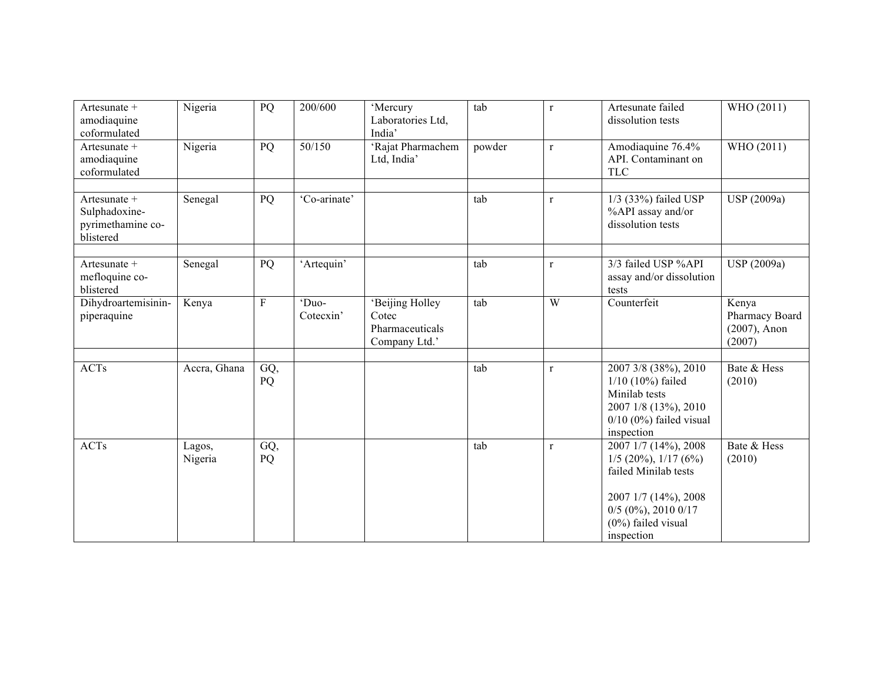| Artesunate +<br>amodiaquine<br>coformulated                     | Nigeria           | PQ        | 200/600            | 'Mercury<br>Laboratories Ltd,<br>India'                      | tab    | $\mathbf{r}$ | Artesunate failed<br>dissolution tests                                                                                                                           | WHO (2011)                                           |
|-----------------------------------------------------------------|-------------------|-----------|--------------------|--------------------------------------------------------------|--------|--------------|------------------------------------------------------------------------------------------------------------------------------------------------------------------|------------------------------------------------------|
| Artesunate +<br>amodiaquine<br>coformulated                     | Nigeria           | PQ        | 50/150             | 'Rajat Pharmachem<br>Ltd, India'                             | powder | $\mathbf{r}$ | Amodiaquine 76.4%<br>API. Contaminant on<br><b>TLC</b>                                                                                                           | WHO (2011)                                           |
| Artesunate +<br>Sulphadoxine-<br>pyrimethamine co-<br>blistered | Senegal           | PQ        | 'Co-arinate'       |                                                              | tab    | $\mathbf{r}$ | 1/3 (33%) failed USP<br>%API assay and/or<br>dissolution tests                                                                                                   | <b>USP</b> (2009a)                                   |
| Artesunate +<br>mefloquine co-<br>blistered                     | Senegal           | PQ        | 'Artequin'         |                                                              | tab    | $\mathbf{r}$ | 3/3 failed USP %API<br>assay and/or dissolution<br>tests                                                                                                         | USP (2009a)                                          |
| Dihydroartemisinin-<br>piperaquine                              | Kenya             | ${\bf F}$ | 'Duo-<br>Cotecxin' | 'Beijing Holley<br>Cotec<br>Pharmaceuticals<br>Company Ltd.' | tab    | W            | Counterfeit                                                                                                                                                      | Kenya<br>Pharmacy Board<br>$(2007)$ , Anon<br>(2007) |
| ACTs                                                            | Accra, Ghana      | GQ,<br>PQ |                    |                                                              | tab    | $\mathbf r$  | 2007 3/8 (38%), 2010<br>$1/10$ (10%) failed<br>Minilab tests<br>2007 1/8 (13%), 2010<br>$0/10$ (0%) failed visual<br>inspection                                  | Bate & Hess<br>(2010)                                |
| <b>ACTs</b>                                                     | Lagos,<br>Nigeria | GQ,<br>PQ |                    |                                                              | tab    | $\mathbf{r}$ | 2007 1/7 (14%), 2008<br>$1/5$ (20%), $1/17$ (6%)<br>failed Minilab tests<br>2007 1/7 (14%), 2008<br>$0/5$ (0%), 2010 0/17<br>$(0\%)$ failed visual<br>inspection | Bate & Hess<br>(2010)                                |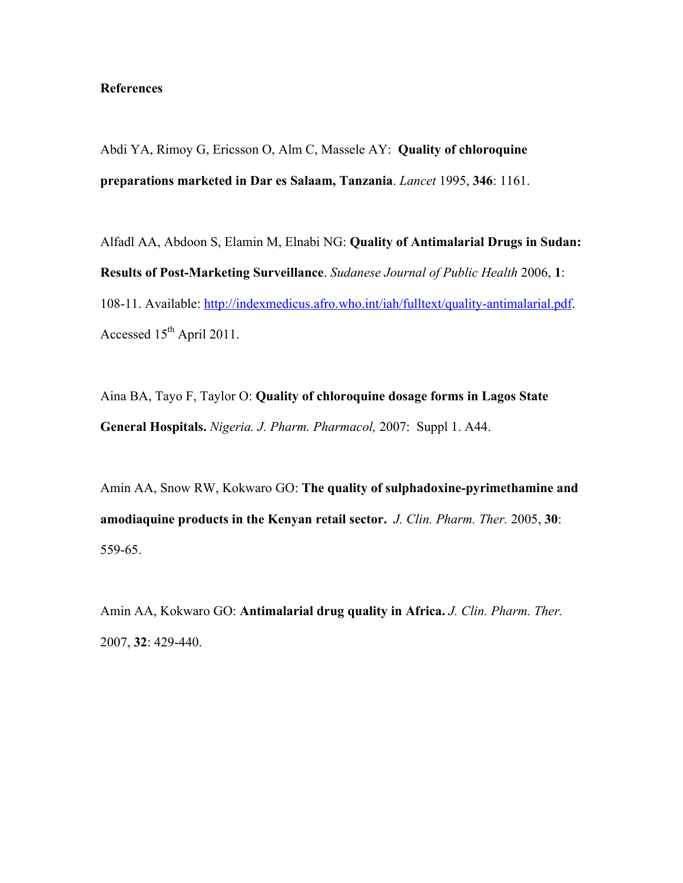## **References**

Abdi YA, Rimoy G, Ericsson O, Alm C, Massele AY: **Quality of chloroquine preparations marketed in Dar es Salaam, Tanzania**. *Lancet* 1995, **346**: 1161.

Alfadl AA, Abdoon S, Elamin M, Elnabi NG: **Quality of Antimalarial Drugs in Sudan: Results of Post-Marketing Surveillance**. *Sudanese Journal of Public Health* 2006, **1**: 108-11. Available: http://indexmedicus.afro.who.int/iah/fulltext/quality-antimalarial.pdf. Accessed 15<sup>th</sup> April 2011.

Aina BA, Tayo F, Taylor O: **Quality of chloroquine dosage forms in Lagos State General Hospitals.** *Nigeria. J. Pharm. Pharmacol,* 2007: Suppl 1. A44.

Amin AA, Snow RW, Kokwaro GO: **The quality of sulphadoxine-pyrimethamine and amodiaquine products in the Kenyan retail sector.** *J. Clin. Pharm. Ther.* 2005, **30**: 559-65.

Amin AA, Kokwaro GO: **Antimalarial drug quality in Africa.** *J. Clin. Pharm. Ther.* 2007, **32**: 429-440.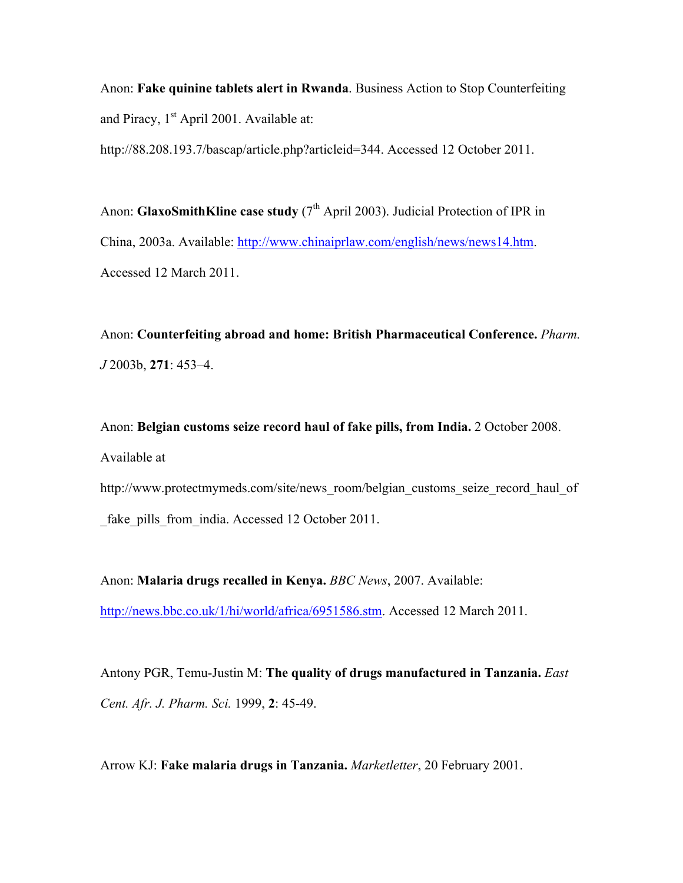Anon: **Fake quinine tablets alert in Rwanda**. Business Action to Stop Counterfeiting and Piracy,  $1<sup>st</sup>$  April 2001. Available at:

http://88.208.193.7/bascap/article.php?articleid=344. Accessed 12 October 2011.

Anon: **GlaxoSmithKline case study** (7<sup>th</sup> April 2003). Judicial Protection of IPR in China, 2003a. Available: http://www.chinaiprlaw.com/english/news/news14.htm. Accessed 12 March 2011.

Anon: **Counterfeiting abroad and home: British Pharmaceutical Conference.** *Pharm. J* 2003b, **271**: 453–4.

Anon: **Belgian customs seize record haul of fake pills, from India.** 2 October 2008. Available at

http://www.protectmymeds.com/site/news\_room/belgian\_customs\_seize\_record\_haul\_of fake pills from india. Accessed 12 October 2011.

Anon: **Malaria drugs recalled in Kenya.** *BBC News*, 2007. Available: http://news.bbc.co.uk/1/hi/world/africa/6951586.stm. Accessed 12 March 2011.

Antony PGR, Temu-Justin M: **The quality of drugs manufactured in Tanzania.** *East Cent. Afr. J. Pharm. Sci.* 1999, **2**: 45-49.

Arrow KJ: **Fake malaria drugs in Tanzania.** *Marketletter*, 20 February 2001.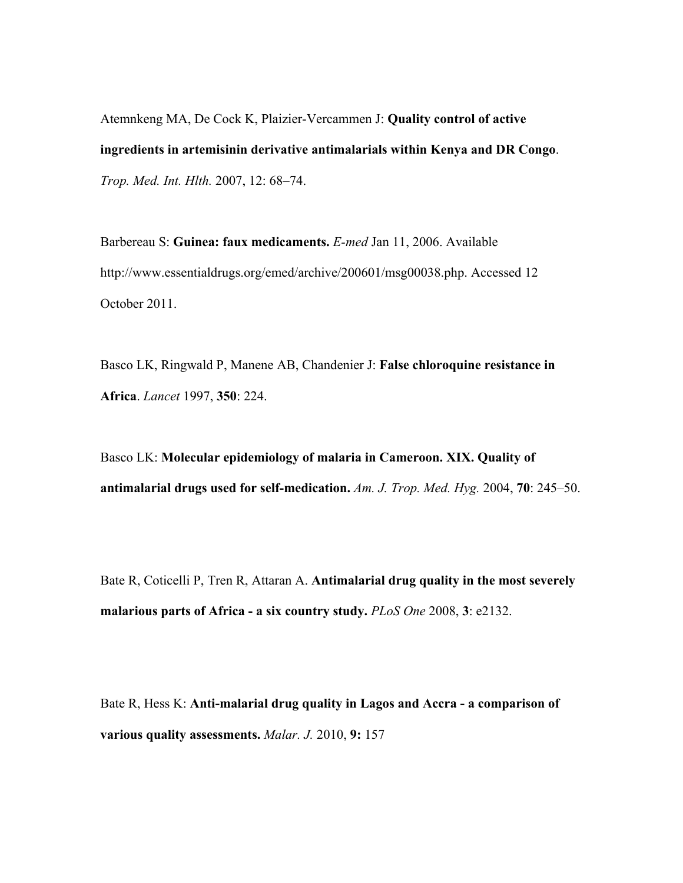Atemnkeng MA, De Cock K, Plaizier-Vercammen J: **Quality control of active ingredients in artemisinin derivative antimalarials within Kenya and DR Congo**. *Trop. Med. Int. Hlth.* 2007, 12: 68–74.

Barbereau S: **Guinea: faux medicaments.** *E-med* Jan 11, 2006. Available http://www.essentialdrugs.org/emed/archive/200601/msg00038.php. Accessed 12 October 2011.

Basco LK, Ringwald P, Manene AB, Chandenier J: **False chloroquine resistance in Africa**. *Lancet* 1997, **350**: 224.

Basco LK: **Molecular epidemiology of malaria in Cameroon. XIX. Quality of antimalarial drugs used for self-medication.** *Am. J. Trop. Med. Hyg.* 2004, **70**: 245–50.

Bate R, Coticelli P, Tren R, Attaran A. **Antimalarial drug quality in the most severely malarious parts of Africa - a six country study.** *PLoS One* 2008, **3**: e2132.

Bate R, Hess K: **Anti-malarial drug quality in Lagos and Accra - a comparison of various quality assessments.** *Malar. J.* 2010, **9:** 157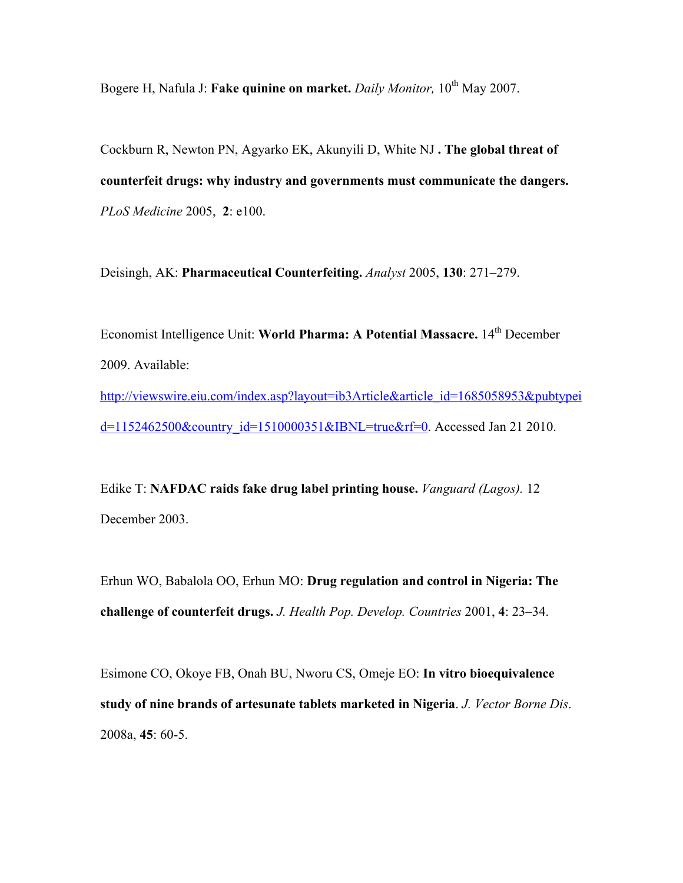Bogere H, Nafula J: Fake quinine on market. Daily Monitor, 10<sup>th</sup> May 2007.

Cockburn R, Newton PN, Agyarko EK, Akunyili D, White NJ **. The global threat of counterfeit drugs: why industry and governments must communicate the dangers.** *PLoS Medicine* 2005, **2**: e100.

Deisingh, AK: **Pharmaceutical Counterfeiting.** *Analyst* 2005, **130**: 271–279.

Economist Intelligence Unit: World Pharma: A Potential Massacre. 14<sup>th</sup> December 2009. Available: http://viewswire.eiu.com/index.asp?layout=ib3Article&article\_id=1685058953&pubtypei d=1152462500&country\_id=1510000351&IBNL=true&rf=0. Accessed Jan 21 2010.

Edike T: **NAFDAC raids fake drug label printing house.** *Vanguard (Lagos).* 12 December 2003.

Erhun WO, Babalola OO, Erhun MO: **Drug regulation and control in Nigeria: The challenge of counterfeit drugs.** *J. Health Pop. Develop. Countries* 2001, **4**: 23–34.

Esimone CO, Okoye FB, Onah BU, Nworu CS, Omeje EO: **In vitro bioequivalence study of nine brands of artesunate tablets marketed in Nigeria**. *J. Vector Borne Dis*. 2008a, **45**: 60-5.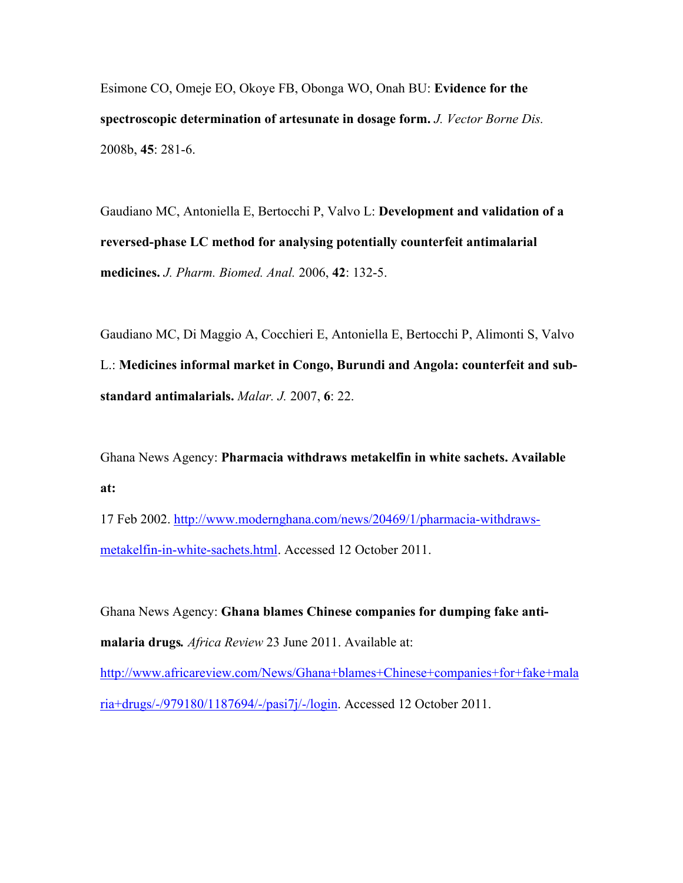Esimone CO, Omeje EO, Okoye FB, Obonga WO, Onah BU: **Evidence for the spectroscopic determination of artesunate in dosage form.** *J. Vector Borne Dis.* 2008b, **45**: 281-6.

Gaudiano MC, Antoniella E, Bertocchi P, Valvo L: **Development and validation of a reversed-phase LC method for analysing potentially counterfeit antimalarial medicines.** *J. Pharm. Biomed. Anal.* 2006, **42**: 132-5.

Gaudiano MC, Di Maggio A, Cocchieri E, Antoniella E, Bertocchi P, Alimonti S, Valvo L.: **Medicines informal market in Congo, Burundi and Angola: counterfeit and substandard antimalarials.** *Malar. J.* 2007, **6**: 22.

Ghana News Agency: **Pharmacia withdraws metakelfin in white sachets. Available at:**

17 Feb 2002. http://www.modernghana.com/news/20469/1/pharmacia-withdrawsmetakelfin-in-white-sachets.html. Accessed 12 October 2011.

Ghana News Agency: **Ghana blames Chinese companies for dumping fake antimalaria drugs***. Africa Review* 23 June 2011. Available at: http://www.africareview.com/News/Ghana+blames+Chinese+companies+for+fake+mala ria+drugs/-/979180/1187694/-/pasi7j/-/login. Accessed 12 October 2011.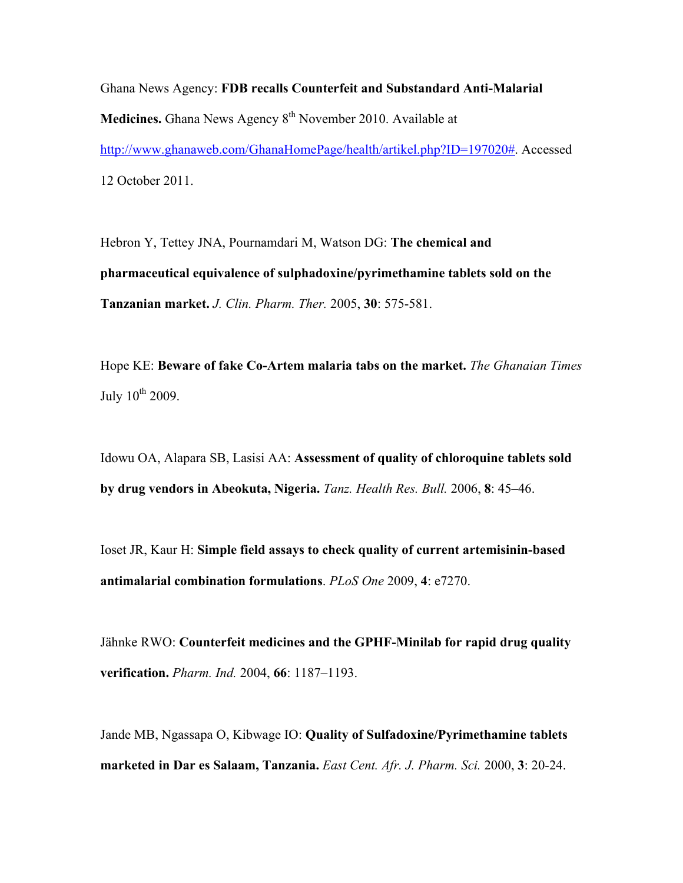Ghana News Agency: **FDB recalls Counterfeit and Substandard Anti-Malarial Medicines.** Ghana News Agency 8<sup>th</sup> November 2010. Available at http://www.ghanaweb.com/GhanaHomePage/health/artikel.php?ID=197020#. Accessed 12 October 2011.

Hebron Y, Tettey JNA, Pournamdari M, Watson DG: **The chemical and pharmaceutical equivalence of sulphadoxine/pyrimethamine tablets sold on the Tanzanian market.** *J. Clin. Pharm. Ther.* 2005, **30**: 575-581.

Hope KE: **Beware of fake Co-Artem malaria tabs on the market.** *The Ghanaian Times* July  $10^{th}$  2009.

Idowu OA, Alapara SB, Lasisi AA: **Assessment of quality of chloroquine tablets sold by drug vendors in Abeokuta, Nigeria.** *Tanz. Health Res. Bull.* 2006, **8**: 45–46.

Ioset JR, Kaur H: **Simple field assays to check quality of current artemisinin-based antimalarial combination formulations**. *PLoS One* 2009, **4**: e7270.

Jähnke RWO: **Counterfeit medicines and the GPHF-Minilab for rapid drug quality verification.** *Pharm. Ind.* 2004, **66**: 1187–1193.

Jande MB, Ngassapa O, Kibwage IO: **Quality of Sulfadoxine/Pyrimethamine tablets marketed in Dar es Salaam, Tanzania.** *East Cent. Afr. J. Pharm. Sci.* 2000, **3**: 20-24.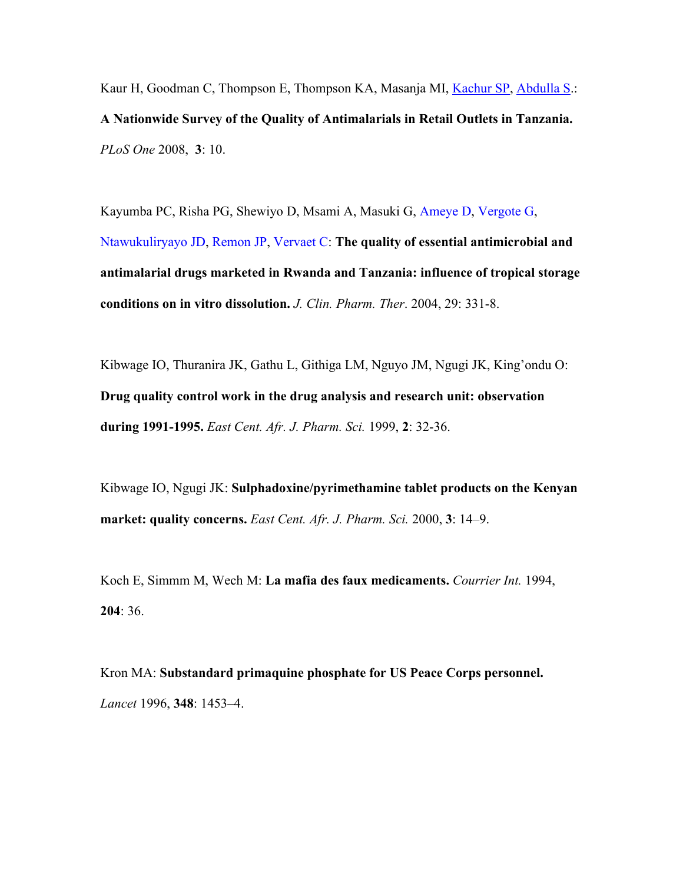Kaur H, Goodman C, Thompson E, Thompson KA, Masanja MI, Kachur SP, Abdulla S.: **A Nationwide Survey of the Quality of Antimalarials in Retail Outlets in Tanzania.** *PLoS One* 2008, **3**: 10.

Kayumba PC, Risha PG, Shewiyo D, Msami A, Masuki G, Ameye D, Vergote G, Ntawukuliryayo JD, Remon JP, Vervaet C: **The quality of essential antimicrobial and antimalarial drugs marketed in Rwanda and Tanzania: influence of tropical storage conditions on in vitro dissolution.** *J. Clin. Pharm. Ther*. 2004, 29: 331-8.

Kibwage IO, Thuranira JK, Gathu L, Githiga LM, Nguyo JM, Ngugi JK, King'ondu O: **Drug quality control work in the drug analysis and research unit: observation during 1991-1995.** *East Cent. Afr. J. Pharm. Sci.* 1999, **2**: 32-36.

Kibwage IO, Ngugi JK: **Sulphadoxine/pyrimethamine tablet products on the Kenyan market: quality concerns.** *East Cent. Afr. J. Pharm. Sci.* 2000, **3**: 14–9.

Koch E, Simmm M, Wech M: **La mafia des faux medicaments.** *Courrier Int.* 1994, **204**: 36.

Kron MA: **Substandard primaquine phosphate for US Peace Corps personnel.** *Lancet* 1996, **348**: 1453–4.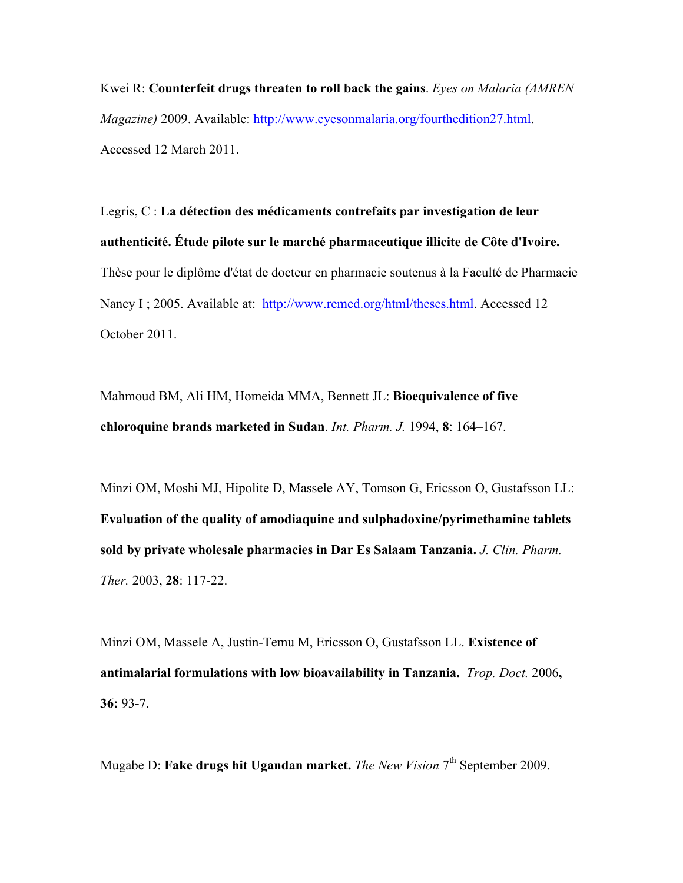Kwei R: **Counterfeit drugs threaten to roll back the gains**. *Eyes on Malaria (AMREN Magazine)* 2009. Available: http://www.eyesonmalaria.org/fourthedition27.html. Accessed 12 March 2011.

Legris, C : **La détection des médicaments contrefaits par investigation de leur authenticité. Étude pilote sur le marché pharmaceutique illicite de Côte d'Ivoire.** Thèse pour le diplôme d'état de docteur en pharmacie soutenus à la Faculté de Pharmacie Nancy I; 2005. Available at: http://www.remed.org/html/theses.html. Accessed 12 October 2011.

Mahmoud BM, Ali HM, Homeida MMA, Bennett JL: **Bioequivalence of five chloroquine brands marketed in Sudan**. *Int. Pharm. J.* 1994, **8**: 164–167.

Minzi OM, Moshi MJ, Hipolite D, Massele AY, Tomson G, Ericsson O, Gustafsson LL: **Evaluation of the quality of amodiaquine and sulphadoxine/pyrimethamine tablets sold by private wholesale pharmacies in Dar Es Salaam Tanzania.** *J. Clin. Pharm. Ther.* 2003, **28**: 117-22.

Minzi OM, Massele A, Justin-Temu M, Ericsson O, Gustafsson LL. **Existence of antimalarial formulations with low bioavailability in Tanzania.** *Trop. Doct.* 2006**, 36:** 93-7.

Mugabe D: **Fake drugs hit Ugandan market.** *The New Vision* 7th September 2009.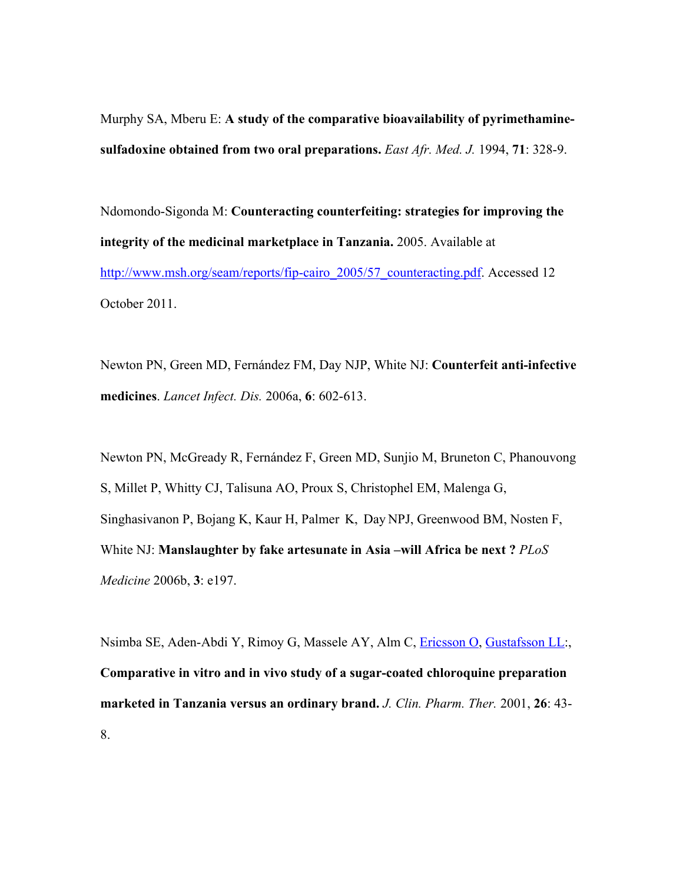Murphy SA, Mberu E: **A study of the comparative bioavailability of pyrimethaminesulfadoxine obtained from two oral preparations.** *East Afr. Med. J.* 1994, **71**: 328-9.

Ndomondo-Sigonda M: **Counteracting counterfeiting: strategies for improving the integrity of the medicinal marketplace in Tanzania.** 2005. Available at http://www.msh.org/seam/reports/fip-cairo\_2005/57\_counteracting.pdf. Accessed 12 October 2011.

Newton PN, Green MD, Fernández FM, Day NJP, White NJ: **Counterfeit anti-infective medicines**. *Lancet Infect. Dis.* 2006a, **6**: 602-613.

Newton PN, McGready R, Fernández F, Green MD, Sunjio M, Bruneton C, Phanouvong S, Millet P, Whitty CJ, Talisuna AO, Proux S, Christophel EM, Malenga G, Singhasivanon P, Bojang K, Kaur H, Palmer K, Day NPJ, Greenwood BM, Nosten F, White NJ: **Manslaughter by fake artesunate in Asia –will Africa be next ?** *PLoS Medicine* 2006b, **3**: e197.

Nsimba SE, Aden-Abdi Y, Rimoy G, Massele AY, Alm C, Ericsson O, Gustafsson LL:, **Comparative in vitro and in vivo study of a sugar-coated chloroquine preparation marketed in Tanzania versus an ordinary brand.** *J. Clin. Pharm. Ther.* 2001, **26**: 43- 8.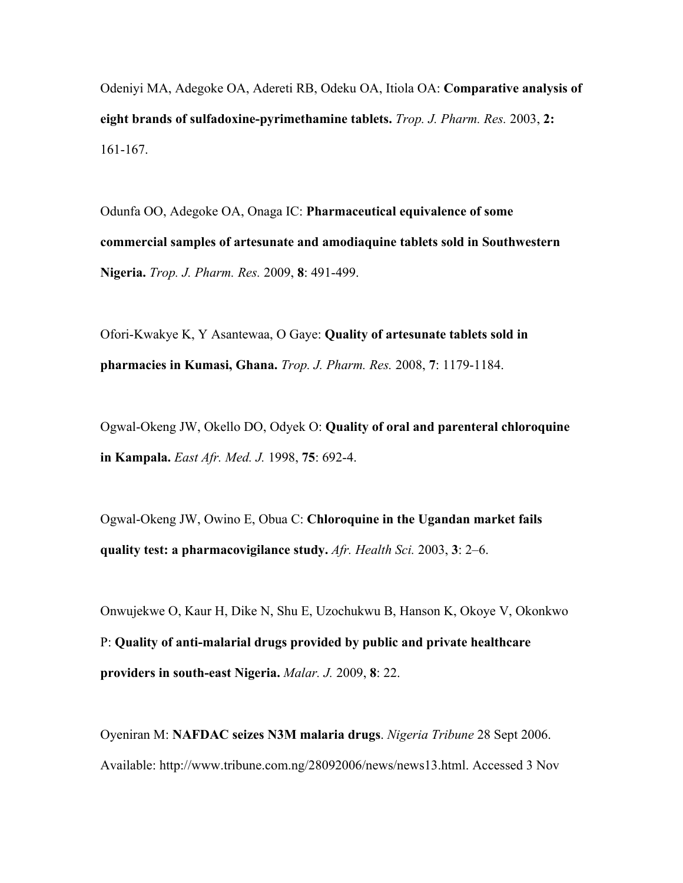Odeniyi MA, Adegoke OA, Adereti RB, Odeku OA, Itiola OA: **Comparative analysis of eight brands of sulfadoxine-pyrimethamine tablets.** *Trop. J. Pharm. Res.* 2003, **2:** 161-167.

Odunfa OO, Adegoke OA, Onaga IC: **Pharmaceutical equivalence of some commercial samples of artesunate and amodiaquine tablets sold in Southwestern Nigeria.** *Trop. J. Pharm. Res.* 2009, **8**: 491-499.

Ofori-Kwakye K, Y Asantewaa, O Gaye: **Quality of artesunate tablets sold in pharmacies in Kumasi, Ghana.** *Trop. J. Pharm. Res.* 2008, **7**: 1179-1184.

Ogwal-Okeng JW, Okello DO, Odyek O: **Quality of oral and parenteral chloroquine in Kampala.** *East Afr. Med. J.* 1998, **75**: 692-4.

Ogwal-Okeng JW, Owino E, Obua C: **Chloroquine in the Ugandan market fails quality test: a pharmacovigilance study.** *Afr. Health Sci.* 2003, **3**: 2–6.

Onwujekwe O, Kaur H, Dike N, Shu E, Uzochukwu B, Hanson K, Okoye V, Okonkwo P: **Quality of anti-malarial drugs provided by public and private healthcare providers in south-east Nigeria.** *Malar. J.* 2009, **8**: 22.

Oyeniran M: **NAFDAC seizes N3M malaria drugs**. *Nigeria Tribune* 28 Sept 2006. Available: http://www.tribune.com.ng/28092006/news/news13.html. Accessed 3 Nov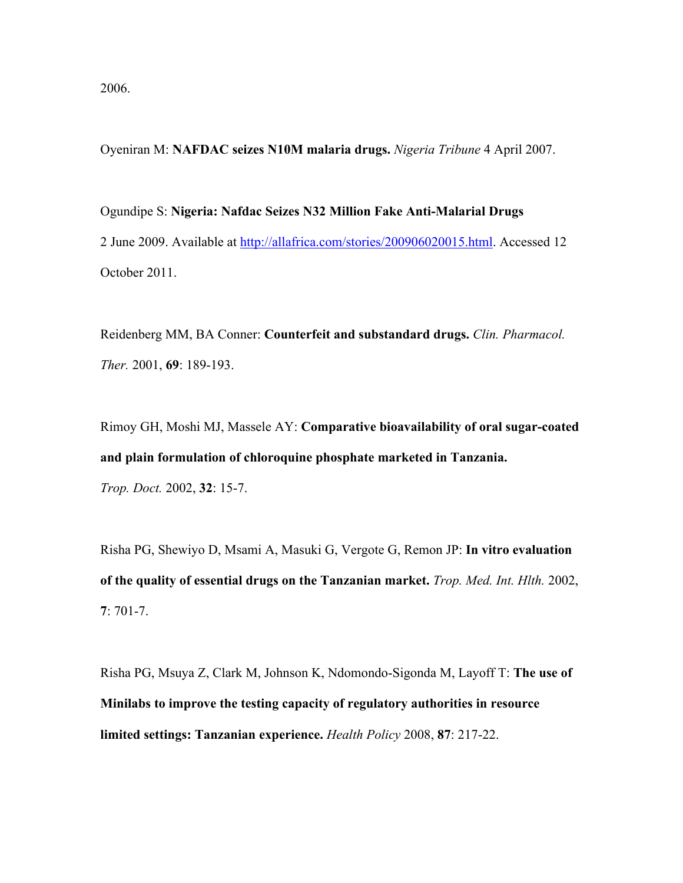2006.

Oyeniran M: **NAFDAC seizes N10M malaria drugs.** *Nigeria Tribune* 4 April 2007.

Ogundipe S: **Nigeria: Nafdac Seizes N32 Million Fake Anti-Malarial Drugs** 2 June 2009. Available at http://allafrica.com/stories/200906020015.html. Accessed 12 October 2011.

Reidenberg MM, BA Conner: **Counterfeit and substandard drugs.** *Clin. Pharmacol. Ther.* 2001, **69**: 189-193.

Rimoy GH, Moshi MJ, Massele AY: **Comparative bioavailability of oral sugar-coated and plain formulation of chloroquine phosphate marketed in Tanzania.** *Trop. Doct.* 2002, **32**: 15-7.

Risha PG, Shewiyo D, Msami A, Masuki G, Vergote G, Remon JP: **In vitro evaluation of the quality of essential drugs on the Tanzanian market.** *Trop. Med. Int. Hlth.* 2002, **7**: 701-7.

Risha PG, Msuya Z, Clark M, Johnson K, Ndomondo-Sigonda M, Layoff T: **The use of Minilabs to improve the testing capacity of regulatory authorities in resource limited settings: Tanzanian experience.** *Health Policy* 2008, **87**: 217-22.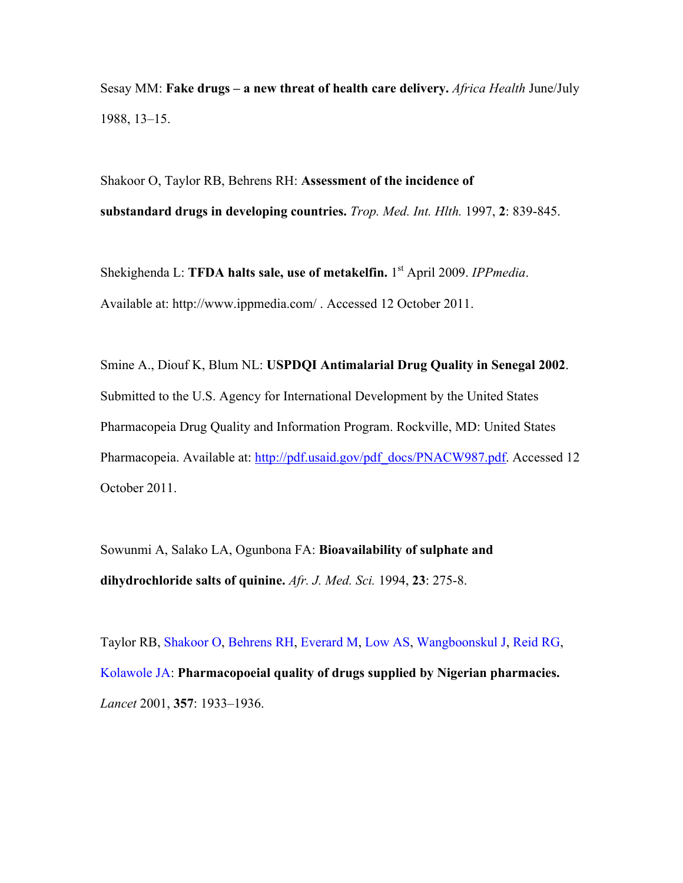Sesay MM: **Fake drugs – a new threat of health care delivery.** *Africa Health* June/July 1988, 13–15.

Shakoor O, Taylor RB, Behrens RH: **Assessment of the incidence of substandard drugs in developing countries.** *Trop. Med. Int. Hlth.* 1997, **2**: 839-845.

Shekighenda L: **TFDA halts sale, use of metakelfin.** 1st April 2009. *IPPmedia*. Available at: http://www.ippmedia.com/ . Accessed 12 October 2011.

Smine A., Diouf K, Blum NL: **USPDQI Antimalarial Drug Quality in Senegal 2002**. Submitted to the U.S. Agency for International Development by the United States Pharmacopeia Drug Quality and Information Program. Rockville, MD: United States Pharmacopeia. Available at: http://pdf.usaid.gov/pdf\_docs/PNACW987.pdf. Accessed 12 October 2011.

Sowunmi A, Salako LA, Ogunbona FA: **Bioavailability of sulphate and dihydrochloride salts of quinine.** *Afr. J. Med. Sci.* 1994, **23**: 275-8.

Taylor RB, Shakoor O, Behrens RH, Everard M, Low AS, Wangboonskul J, Reid RG, Kolawole JA: **Pharmacopoeial quality of drugs supplied by Nigerian pharmacies.** *Lancet* 2001, **357**: 1933–1936.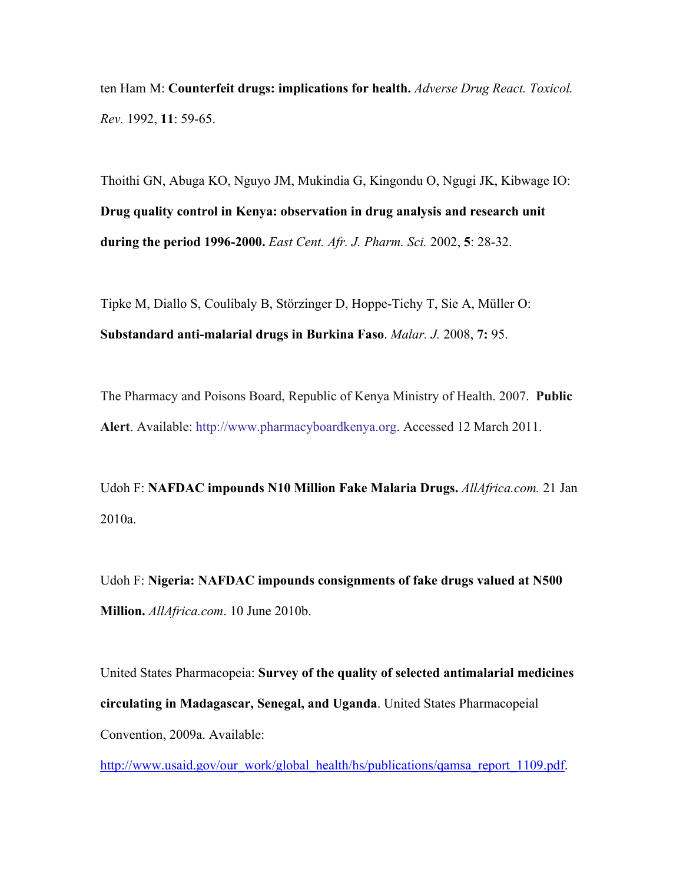ten Ham M: **Counterfeit drugs: implications for health.** *Adverse Drug React. Toxicol. Rev.* 1992, **11**: 59-65.

Thoithi GN, Abuga KO, Nguyo JM, Mukindia G, Kingondu O, Ngugi JK, Kibwage IO: **Drug quality control in Kenya: observation in drug analysis and research unit during the period 1996-2000.** *East Cent. Afr. J. Pharm. Sci.* 2002, **5**: 28-32.

Tipke M, Diallo S, Coulibaly B, Störzinger D, Hoppe-Tichy T, Sie A, Müller O: **Substandard anti-malarial drugs in Burkina Faso**. *Malar. J.* 2008, **7:** 95.

The Pharmacy and Poisons Board, Republic of Kenya Ministry of Health. 2007. **Public Alert**. Available: http://www.pharmacyboardkenya.org. Accessed 12 March 2011.

Udoh F: **NAFDAC impounds N10 Million Fake Malaria Drugs.** *AllAfrica.com.* 21 Jan 2010a.

Udoh F: **Nigeria: NAFDAC impounds consignments of fake drugs valued at N500 Million.** *AllAfrica.com*. 10 June 2010b.

United States Pharmacopeia: **Survey of the quality of selected antimalarial medicines circulating in Madagascar, Senegal, and Uganda**. United States Pharmacopeial Convention, 2009a. Available:

http://www.usaid.gov/our\_work/global\_health/hs/publications/qamsa\_report\_1109.pdf.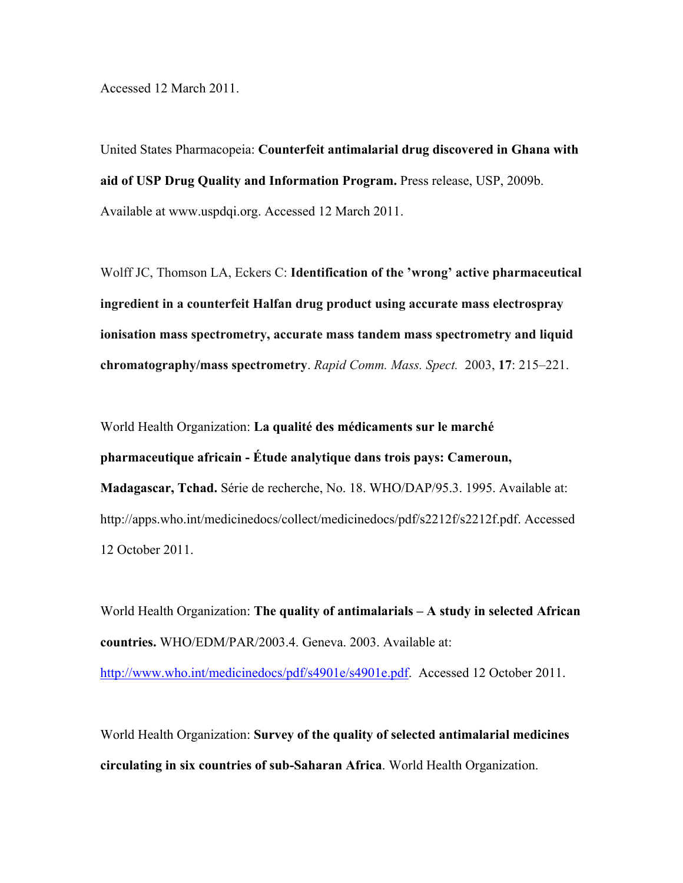Accessed 12 March 2011.

United States Pharmacopeia: **Counterfeit antimalarial drug discovered in Ghana with aid of USP Drug Quality and Information Program.** Press release, USP, 2009b. Available at www.uspdqi.org. Accessed 12 March 2011.

Wolff JC, Thomson LA, Eckers C: **Identification of the 'wrong' active pharmaceutical ingredient in a counterfeit Halfan drug product using accurate mass electrospray ionisation mass spectrometry, accurate mass tandem mass spectrometry and liquid chromatography/mass spectrometry**. *Rapid Comm. Mass. Spect.* 2003, **17**: 215–221.

World Health Organization: **La qualité des médicaments sur le marché pharmaceutique africain - Étude analytique dans trois pays: Cameroun, Madagascar, Tchad.** Série de recherche, No. 18. WHO/DAP/95.3. 1995. Available at: http://apps.who.int/medicinedocs/collect/medicinedocs/pdf/s2212f/s2212f.pdf. Accessed 12 October 2011.

World Health Organization: **The quality of antimalarials – A study in selected African countries.** WHO/EDM/PAR/2003.4. Geneva. 2003. Available at: http://www.who.int/medicinedocs/pdf/s4901e/s4901e.pdf. Accessed 12 October 2011.

World Health Organization: **Survey of the quality of selected antimalarial medicines circulating in six countries of sub-Saharan Africa**. World Health Organization.